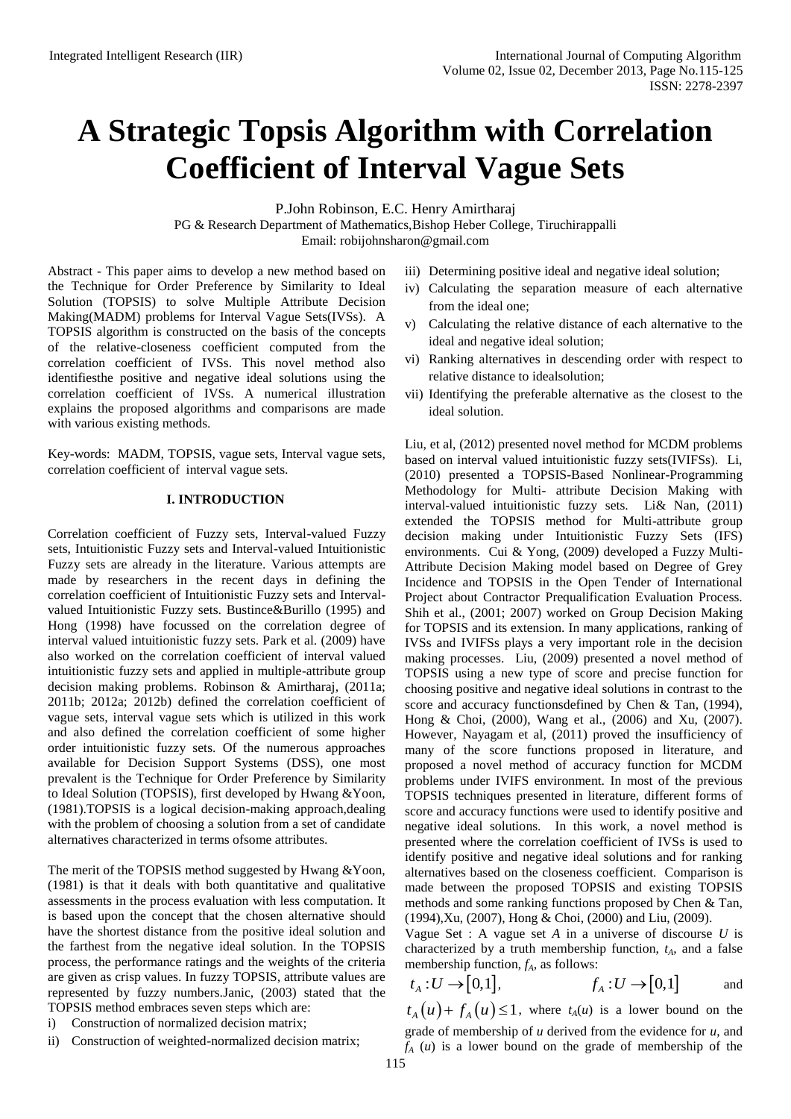# **A Strategic Topsis Algorithm with Correlation Coefficient of Interval Vague Sets**

P.John Robinson, E.C. Henry Amirtharaj

PG & Research Department of Mathematics,Bishop Heber College, Tiruchirappalli Email: [robijohnsharon@gmail.com](mailto:robijohnsharon@gmail.com)

Abstract - This paper aims to develop a new method based on the Technique for Order Preference by Similarity to Ideal Solution (TOPSIS) to solve Multiple Attribute Decision Making(MADM) problems for Interval Vague Sets(IVSs). A TOPSIS algorithm is constructed on the basis of the concepts of the relative-closeness coefficient computed from the correlation coefficient of IVSs. This novel method also identifiesthe positive and negative ideal solutions using the correlation coefficient of IVSs. A numerical illustration explains the proposed algorithms and comparisons are made with various existing methods.

Key-words: MADM, TOPSIS, vague sets, Interval vague sets, correlation coefficient of interval vague sets.

## **I. INTRODUCTION**

Correlation coefficient of Fuzzy sets, Interval-valued Fuzzy sets, Intuitionistic Fuzzy sets and Interval-valued Intuitionistic Fuzzy sets are already in the literature. Various attempts are made by researchers in the recent days in defining the correlation coefficient of Intuitionistic Fuzzy sets and Intervalvalued Intuitionistic Fuzzy sets. Bustince&Burillo (1995) and Hong (1998) have focussed on the correlation degree of interval valued intuitionistic fuzzy sets. Park et al. (2009) have also worked on the correlation coefficient of interval valued intuitionistic fuzzy sets and applied in multiple-attribute group decision making problems. Robinson & Amirtharaj, (2011a; 2011b; 2012a; 2012b) defined the correlation coefficient of vague sets, interval vague sets which is utilized in this work and also defined the correlation coefficient of some higher order intuitionistic fuzzy sets. Of the numerous approaches available for Decision Support Systems (DSS), one most prevalent is the Technique for Order Preference by Similarity to Ideal Solution (TOPSIS), first developed by Hwang &Yoon, (1981).TOPSIS is a logical decision-making approach,dealing with the problem of choosing a solution from a set of candidate alternatives characterized in terms ofsome attributes.

The merit of the TOPSIS method suggested by Hwang &Yoon, (1981) is that it deals with both quantitative and qualitative assessments in the process evaluation with less computation. It is based upon the concept that the chosen alternative should have the shortest distance from the positive ideal solution and the farthest from the negative ideal solution. In the TOPSIS process, the performance ratings and the weights of the criteria are given as crisp values. In fuzzy TOPSIS, attribute values are represented by fuzzy numbers.Janic, (2003) stated that the TOPSIS method embraces seven steps which are:

i) Construction of normalized decision matrix;

ii) Construction of weighted-normalized decision matrix;

- iii) Determining positive ideal and negative ideal solution;
- iv) Calculating the separation measure of each alternative from the ideal one;
- v) Calculating the relative distance of each alternative to the ideal and negative ideal solution;
- vi) Ranking alternatives in descending order with respect to relative distance to idealsolution;
- vii) Identifying the preferable alternative as the closest to the ideal solution.

Liu, et al, (2012) presented novel method for MCDM problems based on interval valued intuitionistic fuzzy sets(IVIFSs). Li, (2010) presented a TOPSIS-Based Nonlinear-Programming Methodology for Multi- attribute Decision Making with interval-valued intuitionistic fuzzy sets. Li& Nan, (2011) extended the TOPSIS method for Multi-attribute group decision making under Intuitionistic Fuzzy Sets (IFS) environments. Cui & Yong, (2009) developed a Fuzzy Multi-Attribute Decision Making model based on Degree of Grey Incidence and TOPSIS in the Open Tender of International Project about Contractor Prequalification Evaluation Process. Shih et al., (2001; 2007) worked on Group Decision Making for TOPSIS and its extension. In many applications, ranking of IVSs and IVIFSs plays a very important role in the decision making processes. Liu, (2009) presented a novel method of TOPSIS using a new type of score and precise function for choosing positive and negative ideal solutions in contrast to the score and accuracy functionsdefined by Chen & Tan, (1994), Hong & Choi, (2000), Wang et al., (2006) and Xu, (2007). However, Nayagam et al, (2011) proved the insufficiency of many of the score functions proposed in literature, and proposed a novel method of accuracy function for MCDM problems under IVIFS environment. In most of the previous TOPSIS techniques presented in literature, different forms of score and accuracy functions were used to identify positive and negative ideal solutions. In this work, a novel method is presented where the correlation coefficient of IVSs is used to identify positive and negative ideal solutions and for ranking alternatives based on the closeness coefficient. Comparison is made between the proposed TOPSIS and existing TOPSIS methods and some ranking functions proposed by Chen & Tan, (1994),Xu, (2007), Hong & Choi, (2000) and Liu, (2009).

Vague Set : A vague set *A* in a universe of discourse *U* is characterized by a truth membership function, *tA*, and a false membership function, *fA*, as follows:

$$
t_A: U \to [0,1], \qquad f_A: U \to [0,1] \qquad \text{and}
$$

 $t_A(u) + f_A(u) \leq 1$ , where  $t_A(u)$  is a lower bound on the grade of membership of *u* derived from the evidence for *u*, and *f<sup>A</sup>* (*u*) is a lower bound on the grade of membership of the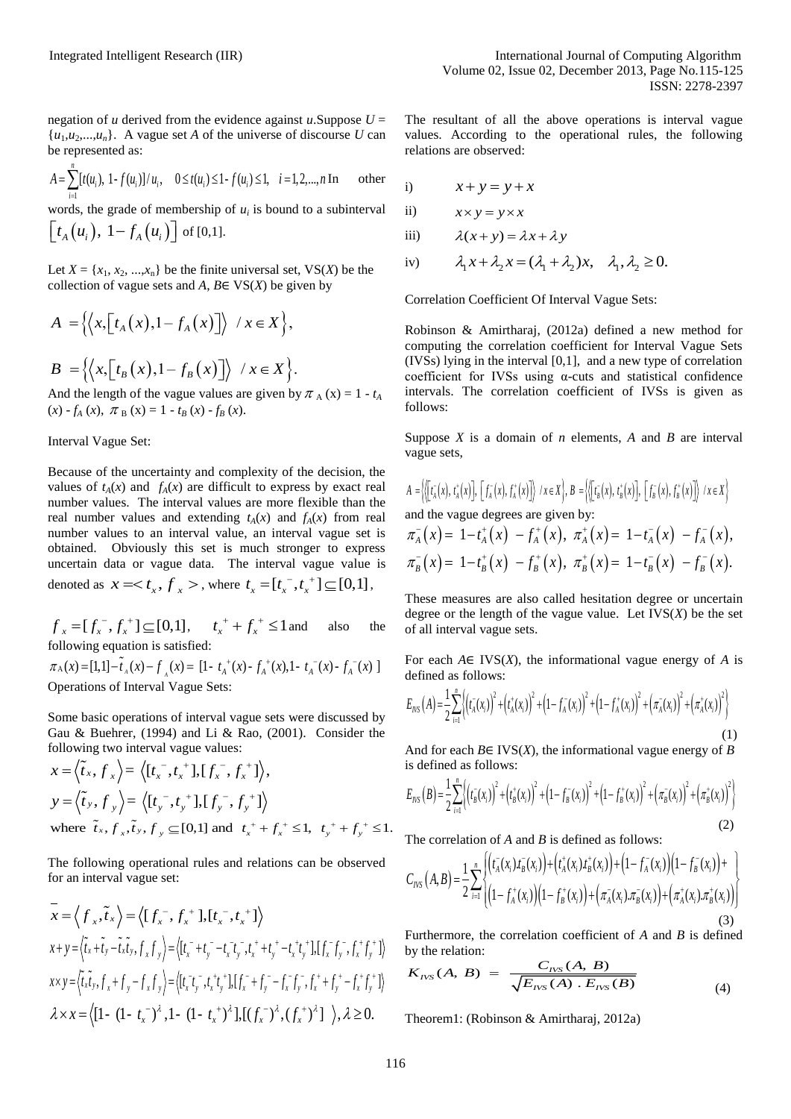negation of *u* derived from the evidence against *u*. Suppose  $U =$  $\{u_1, u_2, \ldots, u_n\}$ . A vague set *A* of the universe of discourse *U* can be represented as:

be represented as:  
\n
$$
A = \sum_{i=1}^{n} [t(u_i), 1 - f(u_i)]/u_i, \quad 0 \le t(u_i) \le 1 - f(u_i) \le 1, \quad i = 1, 2, ..., n \text{ In} \quad \text{other}
$$

words, the grade of membership of  $u_i$  is bound to a subinterval  $\left[t_{A}\left(u_{i}\right),\ 1-f_{A}\left(u_{i}\right)\right]$  of [0,1].

Let  $X = \{x_1, x_2, \ldots, x_n\}$  be the finite universal set, VS(*X*) be the collection of vague sets and  $A$ ,  $B \in VS(X)$  be given by

$$
A = \left\{ \left\langle x, \left[ t_A(x), 1 - f_A(x) \right] \right\rangle / x \in X \right\},\
$$

$$
B = \left\{ \left\langle x, \left[ t_B(x), 1 - f_B(x) \right] \right\rangle / x \in X \right\}.
$$

And the length of the vague values are given by  $\pi_A(x) = 1 - t_A$  $f_A(x) - f_A(x), \pi_B(x) = 1 - t_B(x) - f_B(x).$ 

### Interval Vague Set:

Because of the uncertainty and complexity of the decision, the values of  $t_A(x)$  and  $f_A(x)$  are difficult to express by exact real number values. The interval values are more flexible than the real number values and extending  $t_A(x)$  and  $f_A(x)$  from real number values to an interval value, an interval vague set is obtained. Obviously this set is much stronger to express uncertain data or vague data. The interval vague value is denoted as  $x =$ , where  $t_x = [t_x^-, t_x^+] \subseteq [0,1]$ ,

 $f_x = [f_x^-, f_x^+] \subseteq [0,1], \quad t_x^+ + f_x^+ \leq 1$ also the following equation is satisfied:  $f_x = [f_x, f_x] \subseteq [0,1],$   $f_x + f_x \le 1$  and also the<br>following equation is satisfied:<br> $\pi_A(x) = [1,1] - \tilde{t}_A(x) - f_A(x) = [1 - t_A^+(x) - f_A^+(x), 1 - t_A^-(x) - f_A^-(x)]$ Operations of Interval Vague Sets:

Some basic operations of interval vague sets were discussed by Gau & Buehrer, (1994) and Li & Rao, (2001). Consider the

following two interval vague values:  
\n
$$
x = \langle \tilde{t}_x, f_x \rangle = \langle [t_x^-, t_x^+] , [f_x^-, f_x^+] \rangle,
$$
\n
$$
y = \langle \tilde{t}_y, f_y \rangle = \langle [t_y^-, t_y^+] , [f_y^-, f_y^+] \rangle
$$
\nwhere  $\tilde{t}_x, f_x, \tilde{t}_y, f_y \subseteq [0, 1]$  and  $t_x^+ + f_x^+ \le 1$ ,  $t_y^+ + f_y^+ \le 1$ .  
\nThe c

The following operational rules and relations can be observed for an interval vague set:

$$
\overline{x} = \langle f_x, \tilde{t}_x \rangle = \langle [f_x^-, f_x^+] , [t_x^-, t_x^+] \rangle
$$
\n
$$
x + y = \langle \tilde{t}_x + \tilde{t}_y - \tilde{t}_x \tilde{t}_y, f_x f_y \rangle = \langle [t_x^-, t_y^-, t_x^+] , t_x^+ + t_y^+ - t_x^+ t_y^+], [f_x^-, f_y^-, f_x^+ f_y^+]] \rangle
$$
\n
$$
x \times y = \langle \tilde{t}_x \tilde{t}_y, f_x + f_y - f_x f_y \rangle = \langle [t_x^-, t_y^-, t_x^+ t_y^+], [f_x^-, f_y^-, f_x^+, f_y^+ - f_x^+ f_y^+ - f_x^+ f_y^+]] \rangle
$$
\n
$$
\lambda \times x = \langle [1 - (1 - t_x^-)^2, 1 - (1 - t_x^+)^2], [(f_x^-)^2, (f_x^+)^2], \lambda \ge 0.
$$

The resultant of all the above operations is interval vague values. According to the operational rules, the following relations are observed:

i) 
$$
x + y = y + x
$$

$$
ii) \t x \times y = y \times x
$$

iii) 
$$
\lambda(x+y) = \lambda x + \lambda y
$$

$$
\lambda(x+y) = \lambda x + \lambda y
$$
  
iv)  $\lambda_1 x + \lambda_2 x = (\lambda_1 + \lambda_2)x, \quad \lambda_1, \lambda_2 \ge 0.$ 

Correlation Coefficient Of Interval Vague Sets:

Robinson & Amirtharaj, (2012a) defined a new method for computing the correlation coefficient for Interval Vague Sets (IVSs) lying in the interval [0,1], and a new type of correlation coefficient for IVSs using  $\alpha$ -cuts and statistical confidence intervals. The correlation coefficient of IVSs is given as follows:

Suppose *X* is a domain of *n* elements, *A* and *B* are interval vague sets,

*A t x t x f x f x x X B t x t x f x f x x X* , , , / , , , , / *A A A A B B B B* and the vague degrees are given by: 1 , 1 , 1 , 1 . *A A A A A A B B B B B B x t x f x x t x f x x t x f x x t x f x* 

These measures are also called hesitation degree or uncertain degree or the length of the vague value. Let  $IVS(X)$  be the set of all interval vague sets.

For each *A*∈ IVS(*X*), the informational vague energy of *A* is defined as follows:

defined as follows:  
\n
$$
E_{\text{INS}}(A) = \frac{1}{2} \sum_{i=1}^{n} \left\{ \left( \bar{r}_A(x_i) \right)^2 + \left( \bar{r}_A^+(x_i) \right)^2 + \left( 1 - \bar{r}_A^-(x_i) \right)^2 + \left( \bar{r}_A^-(x_i) \right)^2 + \left( \bar{\pi}_A^-(x_i) \right)^2 + \left( \bar{\pi}_A^+(x_i) \right)^2 \right\}
$$
\n(1)

And for each *B*∈ IVS(*X*), the informational vague energy of *B*  is defined as follows:

is defined as follows:  
\n
$$
E_{\text{IVS}}(B) = \frac{1}{2} \sum_{i=1}^{n} \left\{ \left( t_{B}^{-}(x_{i}) \right)^{2} + \left( t_{B}^{+}(x_{i}) \right)^{2} + \left( 1 - f_{B}^{-}(x_{i}) \right)^{2} + \left( 1 - f_{B}^{+}(x_{i}) \right)^{2} + \left( \pi_{B}^{-}(x_{i}) \right)^{2} + \left( \pi_{B}^{+}(x_{i}) \right)^{2} \right\}
$$
\n(2)

The correlation of *A* and *B* is defined as follows:

The correlation of *A* and *B* is defined as follows:  
\n
$$
C_{\text{IVS}}(A, B) = \frac{1}{2} \sum_{i=1}^{n} \left\{ \left( t_A^-(x_i) t_B^-(x_i) \right) + \left( t_A^+(x_i) t_B^+(x_i) \right) + \left( 1 - f_A^-(x_i) \right) \left( 1 - f_B^-(x_i) \right) + \right\} - \frac{1}{2} \sum_{i=1}^{n} \left\{ \left( 1 - f_A^+(x_i) \right) \left( 1 - f_B^+(x_i) \right) + \left( \pi_A^-(x_i) \pi_B^-(x_i) \right) + \left( \pi_A^+(x_i) \pi_B^+(x_i) \right) \right\} \right\}
$$
\n(3)

Furthermore, the correlation coefficient of *A* and *B* is defined<br>by the relation:<br> $K_{IVS}(A, B) = \frac{C_{IVS}(A, B)}{\sqrt{F_{IAS}(A)F_{IAS}(B)}}$ 

by the relation:  
\n
$$
K_{\text{IVS}}(A, B) = \frac{C_{\text{IVS}}(A, B)}{\sqrt{E_{\text{IVS}}(A) \cdot E_{\text{IVS}}(B)}}
$$
\n(4)

Theorem1: (Robinson & Amirtharaj, 2012a)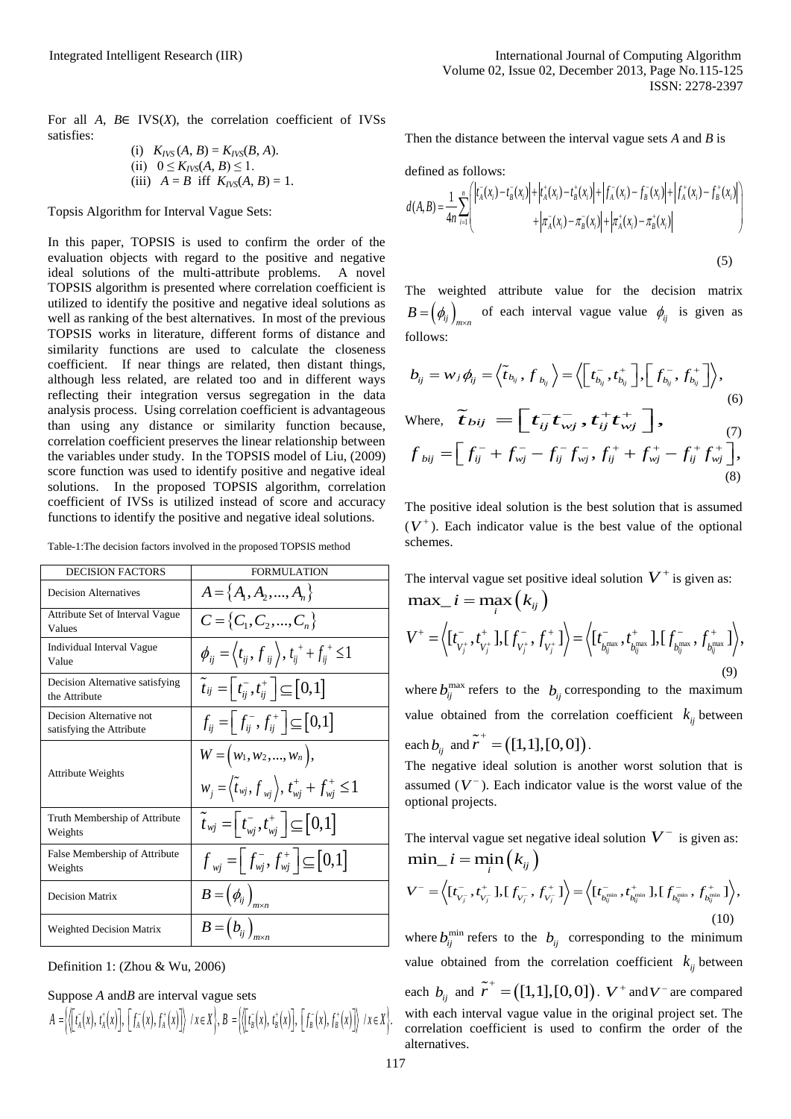For all *A*, *B*∈ IVS(*X*), the correlation coefficient of IVSs satisfies:

(i) 
$$
K_{IVS}(A, B) = K_{IVS}(B, A)
$$
.  
\n(ii)  $0 \le K_{IVS}(A, B) \le 1$ .  
\n(iii)  $A = B$  iff  $K_{IVS}(A, B) = 1$ .

Topsis Algorithm for Interval Vague Sets:

In this paper, TOPSIS is used to confirm the order of the evaluation objects with regard to the positive and negative ideal solutions of the multi-attribute problems. A novel TOPSIS algorithm is presented where correlation coefficient is utilized to identify the positive and negative ideal solutions as well as ranking of the best alternatives. In most of the previous TOPSIS works in literature, different forms of distance and similarity functions are used to calculate the closeness coefficient. If near things are related, then distant things, although less related, are related too and in different ways reflecting their integration versus segregation in the data analysis process. Using correlation coefficient is advantageous than using any distance or similarity function because, correlation coefficient preserves the linear relationship between the variables under study. In the TOPSIS model of Liu, (2009) score function was used to identify positive and negative ideal solutions. In the proposed TOPSIS algorithm, correlation coefficient of IVSs is utilized instead of score and accuracy functions to identify the positive and negative ideal solutions.

Table-1:The decision factors involved in the proposed TOPSIS method

| <b>DECISION FACTORS</b>                              | <b>FORMULATION</b>                                                                                     |
|------------------------------------------------------|--------------------------------------------------------------------------------------------------------|
| <b>Decision Alternatives</b>                         | $A = \{A_1, A_2, , A_n\}$                                                                              |
| Attribute Set of Interval Vague<br>Values            | $C = \{C_1, C_2, , C_n\}$                                                                              |
| Individual Interval Vague<br>Value                   | $\phi_{ij} = \langle t_{ij}, f_{ij} \rangle, t_{ij}^{+} + f_{ij}^{+} \leq 1$                           |
| Decision Alternative satisfying<br>the Attribute     | $\tilde{t}_{ij} = \begin{bmatrix} t_{ii}^-, t_{ii}^+ \end{bmatrix} \subseteq [0,1]$                    |
| Decision Alternative not<br>satisfying the Attribute | $f_{ii} = \left[f_{ii}^-, f_{ii}^+\right] \subseteq [0,1]$                                             |
| <b>Attribute Weights</b>                             | $W = (w_1, w_2, , w_n),$<br>$w_j = \langle \tilde{t}_{wj}, f_{wj} \rangle, t_{wj}^+ + f_{wj}^+ \leq 1$ |
| Truth Membership of Attribute<br>Weights             | $\widetilde{t}_{wj} = \left  t_{wj}^-, t_{wj}^+ \right  \subseteq [0,1]$                               |
| False Membership of Attribute<br>Weights             | $f_{wi} = \left[ f_{wi}^-, f_{wi}^+ \right] \subseteq [0,1]$                                           |
| <b>Decision Matrix</b>                               | $B=\left(\phi_{ij}\right)_{\rm{max}}$                                                                  |
| <b>Weighted Decision Matrix</b>                      | $B=\left(b_{ij}\right)_{m\times n}$                                                                    |



Suppose *A* and *B* are interval vague sets each  
\n
$$
A = \left\langle \left[ t_{A}^{T}(x), t_{A}^{+}(x) \right], \left[ f_{A}^{-}(x), f_{A}^{+}(x) \right] \right\rangle / x \in X \right\rangle, B = \left\langle \left[ t_{B}^{T}(x), t_{B}^{+}(x) \right], \left[ f_{B}^{-}(x), f_{B}^{+}(x) \right] \right\rangle / x \in X \right\rangle, \text{ with\ncorre}
$$

Then the distance between the interval vague sets *A* and *B* is

defined as follows:  
\n
$$
d(A,B) = \frac{1}{4n} \sum_{i=1}^{n} \left( \left| t_A^-(x_i) - t_B^-(x_i) \right| + \left| t_A^+(x_i) - t_B^+(x_i) \right| + \left| f_A^-(x_i) - f_B^-(x_i) \right| + \left| f_A^+(x_i) - f_B^+(x_i) \right| + \left| \pi_A^-(x_i) - \pi_B^-(x_i) \right| + \left| \pi_A^+(x_i) - \pi_B^+(x_i) \right| \right)
$$
\n(5)

The weighted attribute value for the decision matrix  $B = (\phi_{ij})_{m \times n}$  of each interval vague value  $\phi_{ij}$  is given as follows:

follows:  
\n
$$
b_{ij} = w_j \phi_{ij} = \left\langle \tilde{t}_{b_{ij}}, f_{b_{ij}} \right\rangle = \left\langle \left[ t_{b_{ij}}^-, t_{b_{ij}}^+ \right], \left[ f_{b_{ij}}^-, f_{b_{ij}}^+ \right] \right\rangle,
$$
\n(6)  
\nWhere,  $\tilde{t}_{bij} = \left[ t_{ij}^- t_{wj}^-, t_{ij}^+ t_{wj}^+ \right],$   
\n
$$
f_{bij} = \left[ f_{ij}^- + f_{wj}^- - f_{ij}^- f_{wj}^-, f_{ij}^+ + f_{wj}^+ - f_{ij}^+ f_{wj}^+ \right],
$$

The positive ideal solution is the best solution that is assumed  $(V^+)$ . Each indicator value is the best value of the optional schemes.

(8)

The interval vague set positive ideal solution  $V^+$  is given as:  $\max_i i = \max_i (k_{ij})$  $\begin{split} & \max \_\ \ i = \max_i \big( k_{ij} \, \big) \ & V^+ = \Big\langle [ t_{V_j^+}^-, t_{V_j^+}^+] , [ \, f_{V_j^+}^-, f_{V_j^+}^+] \Big\rangle = \Big\langle [ t_{b_{ij}^{\max}}, t_{b_{ij}^{\max}}^+] , [ \, f_{b_{ij}^{\max}}, f_{b_{ij}^{\max}}^+] \Big\rangle, \end{split}$  $\begin{pmatrix} i & 0 \\ 0 & 0 \end{pmatrix}$ <br>+ =  $\begin{pmatrix} f^- & f^+ & 1 \\ 0 & f^+ & 1 \end{pmatrix}$  =  $\begin{pmatrix} f^- & f^+ & 1 \\ 0 & f^+ & 1 \end{pmatrix}$  $\begin{split} &\textbf{u}\textbf{x}\_\_i=\max_i\left(k_{_{ij}}\right)\ =&\left\langle[t_{\textbf{V}_i^+}^-,t_{\textbf{V}_i^+}^+\textbf{I},\textbf{I}_{\textbf{V}_i^+}^-,f_{\textbf{V}_i^+}^+\textbf{I}\right\rangle=\left\langle[t_{\textbf{b}_{\text{grav}}^{\text{max}}},t\right\rangle\ \end{split}$ (9)

where  $b_{ij}^{\text{max}}$  refers to the  $b_{ij}$  corresponding to the maximum value obtained from the correlation coefficient  $k_{ij}$  between each  $b_{ij}$  and  $\tilde{r}^+ = ([1,1],[0,0])$ .

The negative ideal solution is another worst solution that is assumed  $(V^-)$ . Each indicator value is the worst value of the optional projects.

The interval vague set negative ideal solution  $V^-$  is given as:  $\min$ *<sub><i>i*</sub></sup>  $i = \min$ <sub>*i*</sub></sup> $(k_{ij})$  $\begin{split} & {\min\_i = \min_{i} \Big( k_{ij} \Big)} \ & V^{-} \! = \! \Big\langle [ t^{-}_{V^{-}_j}, t^{+}_{V^{-}_j}] , [ f^{-}_{V^{-}_j}, f^{+}_{V^{-}_j}] \Big\rangle \! = \! \Big\langle [ t^{-}_{b^{\min}_{ij}}, t^{+}_{b^{\min}_{ij}}] , [ f^{-}_{b^{\min}_{ij}}, f^{+}_{b^{\min}_{ij}}] \Big\rangle, \end{split}$  $\begin{split} & {\min\_i = \min_i\Big(k_{ij}\,\Big)} \\ & V^- = \Big\langle [t^-_{V^-_j},t^+_{V^-_j}],[f^-_{V^-_j},f^+_{V^-_j}] \Big\rangle = \Big\langle [t^-_{b_{ij}^{\min}},t^+_{b_{ij}^{\min}},[,f^-_{b_{ij}^{\min}},f^+_{b_{ij}^{\min}}]\Big\rangle, \end{split}$ (10)

where  $b_{ij}^{\min}$  refers to the  $b_{ij}$  corresponding to the minimum value obtained from the correlation coefficient  $k_{ij}$  between each  $b_{ij}$  and  $\tilde{r}^+ = ([1,1],[0,0])$ .  $V^+$  and  $V^-$  are compared with each interval vague value in the original project set. The correlation coefficient is used to confirm the order of the alternatives.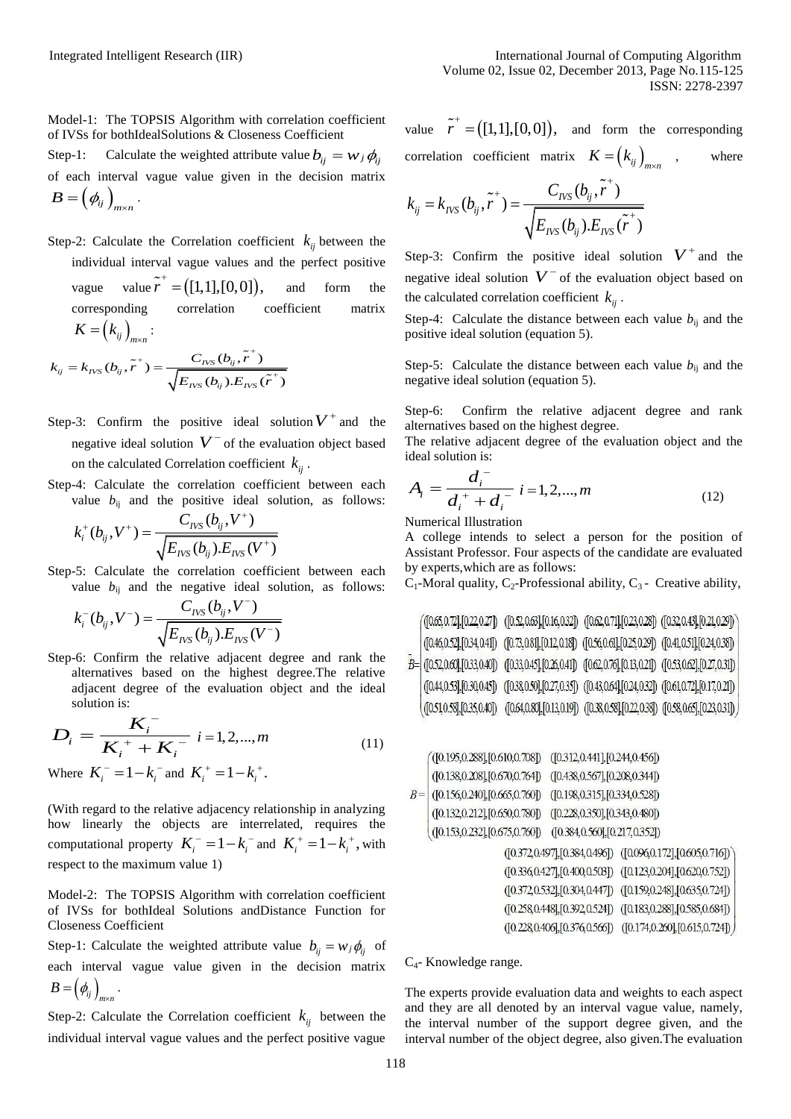Model-1: The TOPSIS Algorithm with correlation coefficient of IVSs for bothIdealSolutions & Closeness Coefficient

Step-1: Calculate the weighted attribute value  $b_{ij} = w_j \phi_{ij}$ of each interval vague value given in the decision matrix  $B = \left(\phi_{\!\scriptscriptstyle ij}\right)_{\!\scriptscriptstyle m \times n}$  .

Step-2: Calculate the Correlation coefficient  $k_{ij}$  between the individual interval vague values and the perfect positive vague value  $\tilde{r}^+ = ([1,1],[0,0]),$ and form the corresponding correlation coefficient matrix  $K = (k_{ij})_{m \times n}$ :

$$
\mathbf{A} = (k_{ij})_{m \times n}:
$$
  

$$
k_{ij} = k_{NSS}(b_{ij}, \tilde{r}^+) = \frac{C_{NSS}(b_{ij}, \tilde{r}^+)}{\sqrt{E_{NSS}(b_{ij}) . E_{NSS}(\tilde{r}^+)}}
$$

- Step-3: Confirm the positive ideal solution  $V^+$  and the negative ideal solution  $V^-$  of the evaluation object based on the calculated Correlation coefficient  $k_{ij}$ .
- Step-4: Calculate the correlation coefficient between each value  $b_{ij}$  and the positive ideal solution, as follows:<br> $C_{IVS}(b_{ij}, V^+)$

$$
k_i^+(b_{ij}, V^+) = \frac{C_{\text{IVS}}(b_{ij}, V^+)}{\sqrt{E_{\text{IVS}}(b_{ij}) . E_{\text{IVS}}(V^+)}}
$$

Step-5: Calculate the correlation coefficient between each value  $b_{ij}$  and the negative ideal solution, as follows:<br> $C_{IVS}(b_{ij}, V^-)$ 

$$
k_i^-(b_{ij}, V^-) = \frac{C_{\text{IVS}}(b_{ij}, V^-)}{\sqrt{E_{\text{IVS}}(b_{ij}) . E_{\text{IVS}}(V^-)}}
$$

Step-6: Confirm the relative adjacent degree and rank the alternatives based on the highest degree.The relative adjacent degree of the evaluation object and the ideal solution is:

$$
D_i = \frac{K_i^-}{K_i^+ + K_i^-} \quad i = 1, 2, \dots, m \tag{11}
$$

Where  $K_i^- = 1 - k_i^-$  and  $K_i^+ = 1 - k_i^+$ .

(With regard to the relative adjacency relationship in analyzing how linearly the objects are interrelated, requires the computational property  $K_i^- = 1 - k_i^-$  and  $K_i^+ = 1 - k_i^+$ , with respect to the maximum value 1)

Model-2: The TOPSIS Algorithm with correlation coefficient of IVSs for bothIdeal Solutions andDistance Function for Closeness Coefficient

Step-1: Calculate the weighted attribute value  $b_{ij} = w_j \phi_{ij}$  of each interval vague value given in the decision matrix  $B = \left(\phi_{ij}\right)_{m \times n}$ .

Step-2: Calculate the Correlation coefficient  $k_{ij}$  between the individual interval vague values and the perfect positive vague

value  $\tilde{r}^+ = ([1,1],[0,0])$ , and form the corresponding correlation coefficient matrix  $K = (k_{ij})_{m \times n}$ where

$$
k_{ij} = k_{INS}(b_{ij}, \tilde{r}^{+}) = \frac{C_{INS}(b_{ij}, \tilde{r}^{+})}{\sqrt{E_{INS}(b_{ij}) . E_{INS}(\tilde{r}^{+})}}
$$

Step-3: Confirm the positive ideal solution  $V^+$  and the negative ideal solution  $V^-$  of the evaluation object based on the calculated correlation coefficient  $k_{ij}$ .

Step-4: Calculate the distance between each value  $b_{ii}$  and the positive ideal solution (equation 5).

Step-5: Calculate the distance between each value  $b_{ij}$  and the negative ideal solution (equation 5).

Step-6: Confirm the relative adjacent degree and rank alternatives based on the highest degree.

The relative adjacent degree of the evaluation object and the ideal solution is:

$$
A_i = \frac{d_i^{\, -}}{d_i^{\, +} + d_i^{\, -}} \, i = 1, 2, \dots, m \tag{12}
$$

Numerical Illustration

A college intends to select a person for the position of Assistant Professor. Four aspects of the candidate are evaluated by experts,which are as follows:

 $C_1$ -Moral quality,  $C_2$ -Professional ability,  $C_3$  - Creative ability,

|  |  | /(0.65,0.72],[0.22,0.27]) ([0.52,0.63].[0.16,032]) ([0.62,0.71].[0.23,0.28]) ([0.32,0.43].[0.21,0.29])                                                                                                          |  |
|--|--|-----------------------------------------------------------------------------------------------------------------------------------------------------------------------------------------------------------------|--|
|  |  | $\begin{array}{ l } \hline \texttt{[0.46, 0.52],[0.34, 0.41]} \hline \texttt{[0.73, 0.81],[0.12, 0.18]} \hline \texttt{[0.56, 0.61],[0.25, 0.29]} \hline \texttt{[0.41, 0.51],[0.24, 0.38]} \hline \end{array}$ |  |
|  |  | $\bar{B}$ = (0.52,0.60),[0.33,0.40]) (0.33,0.45],[0.26,0.41]) (0.62,0.76],[0.13,0.21]) ([0.53,0.62],[0.27,0.31]) $\big $                                                                                        |  |
|  |  | ([0.44,0.53],[0.30,0.45]) ([0.38,0.50],[0.27,0.35]) ([0.43,0.64],[0.24,0.32]) ([0.61,0.72],[0.17,0.21])                                                                                                         |  |
|  |  | $(0.51, 0.58], [0.35, 0.40])$ $(0.64, 0.80], [0.13, 0.19]$ $(0.38, 0.58], [0.22, 0.38])$ $(0.58, 0.65], [0.23, 0.31])$                                                                                          |  |

$$
B = \begin{pmatrix} ([0.195, 0.288], [0.610, 0.708]) & ([0.312, 0.441], [0.244, 0.456]) \\ ([0.138, 0.208], [0.670, 0.764]) & ([0.438, 0.567], [0.208, 0.344]) \\ ([0.156, 0.240], [0.665, 0.760]) & ([0.198, 0.315], [0.334, 0.528]) \\ ([0.132, 0.212], [0.650, 0.780]) & ([0.228, 0.350], [0.343, 0.480]) \\ ([0.153, 0.232], [0.675, 0.760]) & ([0.384, 0.560], [0.217, 0.352]) \\ ([0.372, 0.497], [0.384, 0.496]) & ([0.096, 0.172], [0.605, 0.716]) \\ ([0.372, 0.471], [0.400, 0.503]) & ([0.123, 0.204], [0.635, 0.724]) \\ ([0.372, 0.532], [0.304, 0.447]) & ([0.159, 0.248], [0.635, 0.724]) \\ ([0.288, 0.448], [0.392, 0.524]) & ([0.174, 0.260], [0.615, 0.724]) \\ ([0.280, 406], [0.376, 0.566]) & ([0.174, 0.260], [0.615, 0.724]) \end{pmatrix}
$$

C4- Knowledge range.

The experts provide evaluation data and weights to each aspect and they are all denoted by an interval vague value, namely, the interval number of the support degree given, and the interval number of the object degree, also given.The evaluation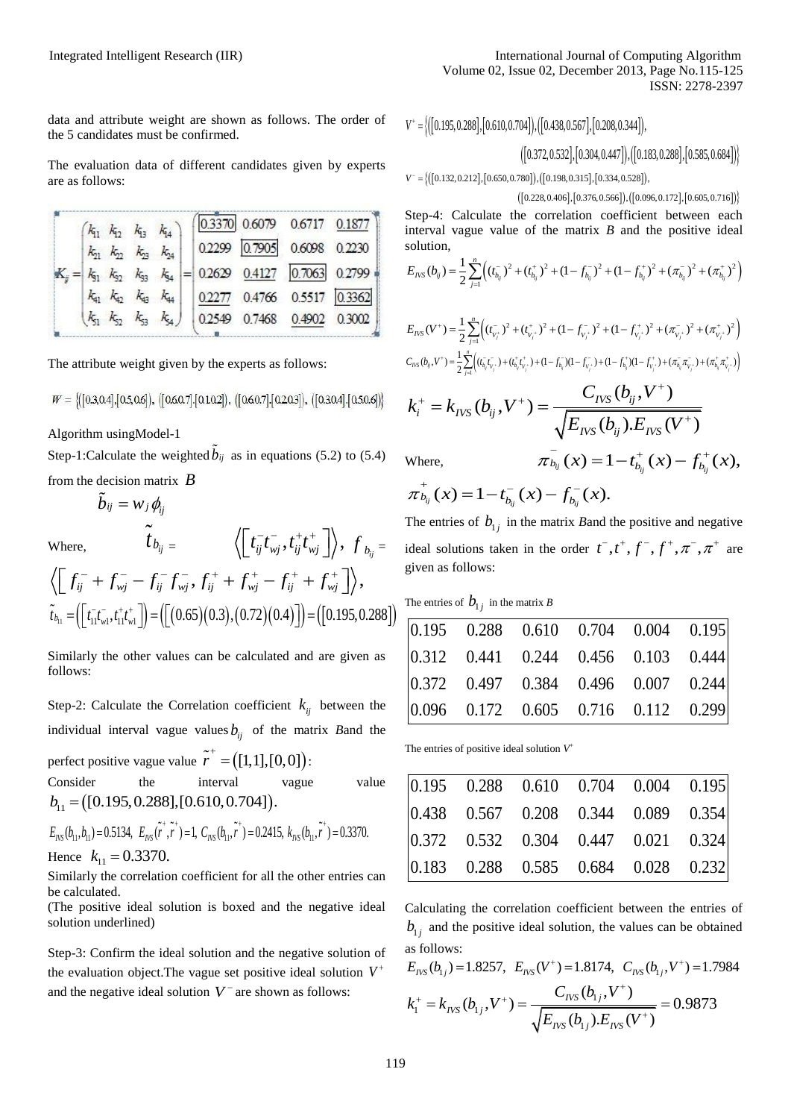data and attribute weight are shown as follows. The order of the 5 candidates must be confirmed.

The evaluation data of different candidates given by experts are as follows:

|  | $(k_{11} k_{12} k_{13} k_{14})$ |  |  | $\boxed{0.3370}$ 0.6079 0.6717 0.1877                                                                    |  |
|--|---------------------------------|--|--|----------------------------------------------------------------------------------------------------------|--|
|  |                                 |  |  | $\begin{vmatrix} k_{21} & k_{22} & k_{23} & k_{24} \end{vmatrix}$ 0.2299 0.7905 0.6098 0.2230            |  |
|  |                                 |  |  | $ K_{ij}  =  k_{51} \ k_{52} \ k_{53} \ k_{54}  =  0.2629 \ \ 0.4127 \ \ \overline{ 0.7063 } \ \ 0.2799$ |  |
|  |                                 |  |  | $\begin{vmatrix} k_{41} & k_{42} & k_{43} & k_{44} \end{vmatrix}$ 0.2277 0.4766 0.5517 0.3362            |  |
|  |                                 |  |  | $\begin{vmatrix} k_{51} & k_{52} & k_{53} & k_{54} \end{vmatrix}$ 0.2549 0.7468 0.4902 0.3002            |  |

The attribute weight given by the experts as follows:

 $W = \{(0.3, 0.4], [0.5, 0.6], ([0.60.7], [0.10.2]), ([0.60.7], [0.20.3]), ([0.30.4], [0.50.6])\}$ 

Algorithm usingModel-1

Step-1:Calculate the weighted  $b_{ij}$  as in equations (5.2) to (5.4) from the decision matrix *B*

$$
\tilde{b}_{ij} = w_j \pmb{\phi}_{\!}
$$

 $f<sub>b</sub>$ 

 $\overline{M}$ 

Where,

\n
$$
t_{b_{ij}} = \left\langle \left[ t_{ij}^- t_{mj}^- , t_{ij}^+ t_{mj}^+ \right] \right\rangle, f_{b_{ij}} = \left\langle \left[ f_{ij}^- + f_{mj}^- - f_{ij}^- f_{mj}^-, f_{ij}^+ + f_{mj}^+ - f_{ij}^+ + f_{mj}^+ \right] \right\rangle,
$$
\n
$$
\tilde{t}_{b_{11}} = \left( \left[ t_{i1}^- t_{w1}^-, t_{i1}^+ t_{w1}^+ \right] \right) = \left( \left[ (0.65)(0.3), (0.72)(0.4) \right] \right) = \left( \left[ 0.195, 0.288 \right] \right)
$$

Similarly the other values can be calculated and are given as follows:

Step-2: Calculate the Correlation coefficient  $k_{ij}$  between the individual interval vague values  $b_{ij}$  of the matrix *B*and the perfect positive vague value  $\tilde{r}^+ = ([1,1],[0,0])$ : Consider the interval vague value

Consider the interval<br>  $b_{11} = ([0.195, 0.288], [0.610, 0.704]).$ 

$$
b_{11} = ([0.195, 0.288], [0.610, 0.704]).
$$
  
\n
$$
E_{\text{NS}}(b_{11}, b_{11}) = 0.5134, E_{\text{NS}}(\tilde{r}^*, \tilde{r}^*) = 1, C_{\text{NS}}(b_{11}, \tilde{r}^*) = 0.2415, k_{\text{NS}}(b_{11}, \tilde{r}^*) = 0.3370.
$$
  
\nHence  $k_{11} = 0.3370.$ 

Similarly the correlation coefficient for all the other entries can be calculated.

(The positive ideal solution is boxed and the negative ideal solution underlined)

Step-3: Confirm the ideal solution and the negative solution of the evaluation object.The vague set positive ideal solution *V* and the negative ideal solution  $V^-$  are shown as follows:

$$
ISSN: 2278-2397
$$
\n
$$
V^+ = \left\{ \left[ \left[ 0.195, 0.288 \right], \left[ 0.610, 0.704 \right] \right), \left[ \left[ 0.438, 0.567 \right], \left[ 0.208, 0.344 \right] \right], \left[ \left[ 0.183, 0.288 \right], \left[ 0.585, 0.684 \right] \right] \right\}
$$
\n
$$
V^- = \left\{ \left[ \left[ 0.132, 0.212 \right], \left[ 0.650, 0.780 \right], \left[ \left[ 0.198, 0.315 \right], \left[ 0.334, 0.528 \right] \right], \left[ 0.585, 0.684 \right] \right\}
$$
\n
$$
V^- = \left\{ \left[ \left[ 0.132, 0.212 \right], \left[ 0.650, 0.780 \right], \left[ \left[ 0.198, 0.315 \right], \left[ 0.334, 0.528 \right] \right], \left[ 0.066, 0.172 \right], \left[ 0.605, 0.716 \right] \right\}
$$

 $V^- = \frac{1}{2}$ 

 $([0.228, 0.406], [0.376, 0.566]), ([0.096, 0.172], [0.605, 0.716])$ 

Step-4: Calculate the correlation coefficient between each interval vague value of the matrix *B* and the positive ideal solution,<br>  $E_{NS}(b_{ij}) = \frac{1}{2} \sum_{i=1}^{n} \left( (t_{b_{ij}}^{\text{T}})^2 + (t_{b_{ij}}^{\text{T}})^2 + (1 - f_{b_{ij}}^{\text{T}})^2 + (1 - f_{b_{ij}}^{\text{T}})^2 + (\pi_{b_{ij}}^{\text{T}})^2 \right)$ solution,

solution,  

$$
E_{NSS}(b_{ij}) = \frac{1}{2} \sum_{j=1}^{n} \left( (t_{b_{ij}}^{-})^2 + (t_{b_{ij}}^{+})^2 + (1 - f_{b_{ij}}^{-})^2 + (1 - f_{b_{ij}}^{+})^2 + (\pi_{b_{ij}}^{-})^2 + (\pi_{b_{ij}}^{+})^2 \right)
$$

$$
E_{NS}(V^+) = \frac{1}{2} \sum_{j=1}^n \left( (t_{v_j^+}^-)^2 + (t_{v_j^+}^+)^2 + (1 - f_{v_j^+}^-)^2 + (1 - f_{v_j^+}^+)^2 + (\pi_{v_j^+}^-)^2 + (\pi_{v_j^+}^+)^2 \right)
$$
  

$$
C_{NS}(b_{ij}, V^+) = \frac{1}{2} \sum_{j=1}^n \left( (t_{b_{ij}}^-\tau_{v_j^+}) + (t_{b_{ij}}^+\tau_{v_j^+}) + (1 - f_{b_{ij}}^-\right)(1 - f_{v_j^+}^+) + (1 - f_{b_{ij}}^+\right)(1 - f_{v_j^+}^+) + (\pi_{b_{ij}}^-\pi_{v_j^+}^-) + (\pi_{b_{ij}}^+\pi_{v_j^+}^+) \right)
$$

$$
c_{ns}(b_{ij},V^*) = \frac{1}{2} \sum_{j=1}^{N} \left( (t_{b_{ij}}^T t_{v_j}^T) + (t_{b_{ij}}^* t_{v_j}^T) + (1 - f_{b_{ij}}^T)(1 - f_{v_j}^T) + (1 - f_{b_{ij}}^T)(1 - f_{v_j}^T) + (\pi_{b_{ij}}^T \pi_{v_j}^T) + (\pi_{b_{ij}}^T \pi_{v_j}^T) + (\pi_{b_{ij}}^T \pi_{v_j}^T) + (\pi_{b_{ij}}^T \pi_{v_j}^T) + (\pi_{b_{ij}}^T \pi_{v_j}^T) + (\pi_{b_{ij}}^T \pi_{v_j}^T) + (\pi_{b_{ij}}^T \pi_{v_j}^T) + (\pi_{b_{ij}}^T \pi_{v_j}^T) + (\pi_{b_{ij}}^T \pi_{v_j}^T) + (\pi_{b_{ij}}^T \pi_{v_j}^T) + (\pi_{b_{ij}}^T \pi_{v_j}^T) + (\pi_{b_{ij}}^T \pi_{v_j}^T) + (\pi_{b_{ij}}^T \pi_{v_j}^T) + (\pi_{b_{ij}}^T \pi_{v_j}^T) + (\pi_{b_{ij}}^T \pi_{v_j}^T) + (\pi_{b_{ij}}^T \pi_{v_j}^T) + (\pi_{b_{ij}}^T \pi_{v_j}^T) + (\pi_{b_{ij}}^T \pi_{v_j}^T) + (\pi_{b_{ij}}^T \pi_{v_j}^T) + (\pi_{b_{ij}}^T \pi_{v_j}^T) + (\pi_{b_{ij}}^T \pi_{v_j}^T) + (\pi_{b_{ij}}^T \pi_{v_j}^T) + (\pi_{b_{ij}}^T \pi_{v_j}^T) + (\pi_{b_{ij}}^T \pi_{v_j}^T) + (\pi_{b_{ij}}^T \pi_{v_j}^T) + (\pi_{b_{ij}}^T \pi_{v_j}^T) + (\pi_{b_{ij}}^T \pi_{v_j}^T) + (\pi_{b_{ij}}^T \pi_{v_j}^T) + (\pi_{b_{ij}}^T \pi_{v_j}^T) + (\pi_{b_{ij}}^T \pi_{v_j}^T) + (\pi_{b_{ij}}^T \pi_{v_j}^T) + (\pi_{b_{ij}}^T \pi_{v_j}^T) + (\pi_{b_{ij}}^T \pi_{v_j}^T) + (\pi_{b_{ij}}^T \pi_{v_j}^T)
$$

Where,

Where,  
\n
$$
\pi_{b_{ij}}^-(x) = 1 - t_{b_{ij}}^+(x) - f_{b_{ij}}^+(x),
$$
\n
$$
\pi_{b_{ij}}^+(x) = 1 - t_{b_{ij}}^-(x) - f_{b_{ij}}^-(x).
$$

The entries of  $b_{1j}$  in the matrix *B* and the positive and negative ideal solutions taken in the order  $t^-, t^+, f^-, f^+, \pi^-, \pi^+$  are given as follows:

The entries of  $b_{1j}$  in the matrix *B* 

| $\begin{array}{cccccc} 0.195 & 0.288 & 0.610 & 0.704 & 0.004 & 0.195 \end{array}$ |  |  |
|-----------------------------------------------------------------------------------|--|--|
| $\begin{array}{cccccc} 0.312 & 0.441 & 0.244 & 0.456 & 0.103 & 0.444 \end{array}$ |  |  |
| $\begin{array}{cccc}  0.372 & 0.497 & 0.384 & 0.496 & 0.007 & 0.244  \end{array}$ |  |  |
| $\begin{array}{cccccc} 0.096 & 0.172 & 0.605 & 0.716 & 0.112 & 0.299 \end{array}$ |  |  |

The entries of positive ideal solution  $V^+$ 

| $\begin{array}{ l c c c c c c c } \hline 0.195 & 0.288 & 0.610 & 0.704 & 0.004 & 0.195 \hline \end{array}$ |  |  |
|------------------------------------------------------------------------------------------------------------|--|--|
| $\begin{vmatrix} 0.438 & 0.567 & 0.208 & 0.344 & 0.089 & 0.354 \end{vmatrix}$                              |  |  |
| $\begin{vmatrix} 0.372 & 0.532 & 0.304 & 0.447 & 0.021 & 0.324 \end{vmatrix}$                              |  |  |
| $\begin{bmatrix} 0.183 & 0.288 & 0.585 & 0.684 & 0.028 & 0.232 \end{bmatrix}$                              |  |  |

Calculating the correlation coefficient between the entries of  $b_{1j}$  and the positive ideal solution, the values can be obtained<br>as follows:<br> $E_{NS}(b_{1j}) = 1.8257$ ,  $E_{NS}(V^+) = 1.8174$ ,  $C_{NS}(b_{1j}, V^+) = 1.7984$ as follows: <sup>+</sup>) = 1.8174.  $C_{xx}(b...V^+)$  = 1.

$$
E_{\text{IVS}}(b_{1j}) = 1.8257, \ E_{\text{IVS}}(V^{+}) = 1.8174, \ C_{\text{IVS}}(b_{1j}, V^{+}) = 1.7984
$$
\n
$$
k_{1}^{+} = k_{\text{IVS}}(b_{1j}, V^{+}) = \frac{C_{\text{IVS}}(b_{1j}, V^{+})}{\sqrt{E_{\text{IVS}}(b_{1j}) . E_{\text{IVS}}(V^{+})}} = 0.9873
$$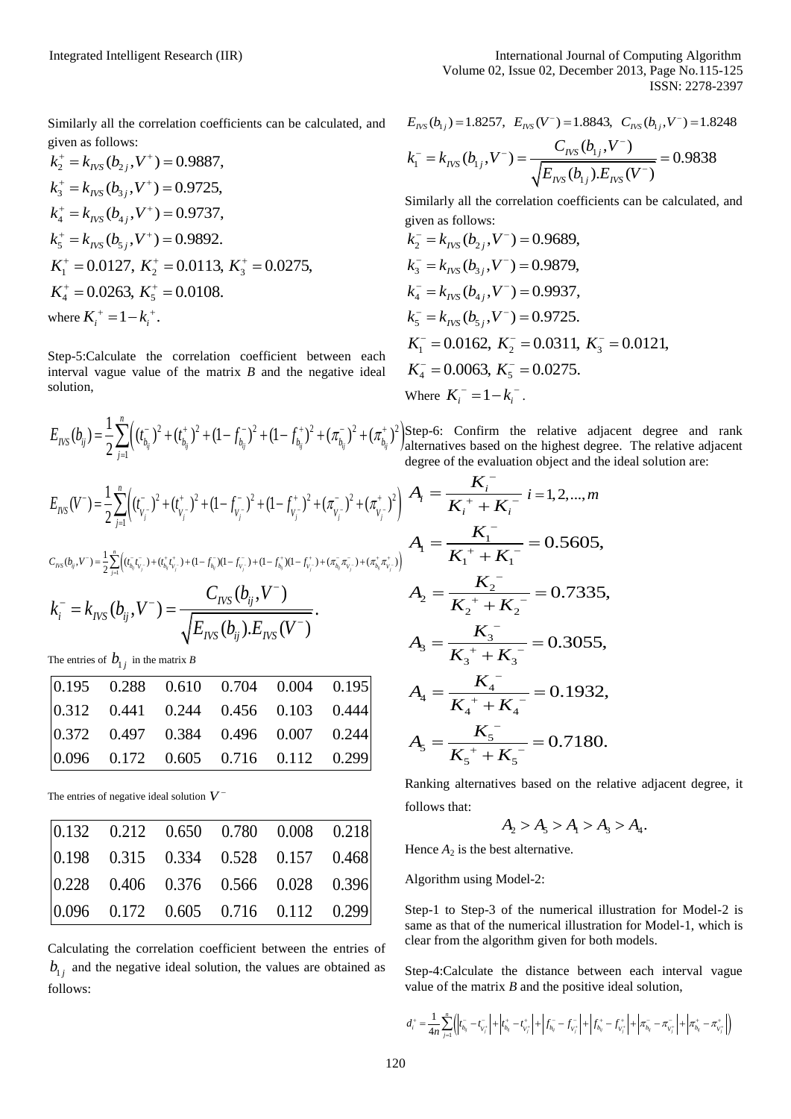Similarly all the correlation coefficients can be calculated, and

given as follows:  
\n
$$
k_2^+ = k_{\text{INS}}(b_{2j}, V^+) = 0.9887
$$
,  
\n $k_3^+ = k_{\text{INS}}(b_{3j}, V^+) = 0.9725$ ,  
\n $k_4^+ = k_{\text{INS}}(b_{4j}, V^+) = 0.9737$ ,  
\n $k_5^+ = k_{\text{INS}}(b_{5j}, V^+) = 0.9892$ .  
\n $K_1^+ = 0.0127$ ,  $K_2^+ = 0.0113$ ,  $K_3^+ = 0.0275$ ,  
\n $K_4^+ = 0.0263$ ,  $K_5^+ = 0.0108$ .  
\nwhere  $K_i^+ = 1 - k_i^+$ .

Step-5:Calculate the correlation coefficient between each interval vague value of the matrix *B* and the negative ideal solution,

$$
\text{ISSN: } 2278-2397
$$
\n
$$
E_{NS}(b_{1j}) = 1.8257, \quad E_{NS}(V^-) = 1.8843, \quad C_{NS}(b_{1j}, V^-) = 1.8248
$$
\n
$$
k_1^- = k_{INS}(b_{1j}, V^-) = \frac{C_{INS}(b_{1j}, V^-)}{\sqrt{E_{NS}(b_{1j}), E_{NS}(V^-)}} = 0.9838
$$

Similarly all the correlation coefficients can be calculated, and

given as follows:  
\n
$$
k_2^- = k_{\text{IVS}}(b_{2j}, V^-) = 0.9689,
$$
  
\n $k_3^- = k_{\text{IVS}}(b_{3j}, V^-) = 0.9879,$   
\n $k_4^- = k_{\text{IVS}}(b_{4j}, V^-) = 0.9937,$   
\n $k_5^- = k_{\text{IVS}}(b_{5j}, V^-) = 0.9725.$   
\n $K_1^- = 0.0162, K_2^- = 0.0311, K_3^- = 0.0121,$   
\n $K_4^- = 0.0063, K_5^- = 0.0275.$   
\nWhere  $K_i^- = 1 - k_i^-$ .

 $\left( (t_{b_n}^{\scriptscriptstyle{-}})^2 + (t_{b_n}^{\scriptscriptstyle{+}})^2 + (1 - f_{b_n}^{\scriptscriptstyle{-}})^2 + (1 - f_{b_n}^{\scriptscriptstyle{+}})^2 + (\pi_{b_n}^{\scriptscriptstyle{-}})^2 + (\pi_{b_n}^{\scriptscriptstyle{+}})^2 \right)$ 1 1  $(b_{ij}) = \frac{1}{2} \sum_{i=1}^n \Bigl( (t_{b_{ij}}^-)^2 + (t_{b_{ij}}^+)^2 + (1 - f_{b_{ij}}^-)^2 + (1 - f_{b_{ij}}^+)^2 + (\pi_{b_{ij}}^-)^2 + (\pi_{b_{ij}}^+)$ **i** Wher  $E_{NS}(b_{ij}) = \frac{1}{2} \sum_{j=1}^{n} \left( (t_{b_{ij}}^{-})^2 + (t_{b_{ij}}^{+})^2 + (1 - f_{b_{ij}}^{-})^2 + (1 - f_{b_{ij}}^{+})^2 + (\pi_{b_{ij}}^{-})^2 + (\pi_{b_{ij}}^{+})^2 \right)$ Step-0

degree  
\n
$$
E_{\text{IVS}}(V^-) = \frac{1}{2} \sum_{j=1}^n \Bigl( (t_{V_j^-}^-)^2 + (t_{V_j^-}^+)^2 + (1 - f_{V_j^-}^-)^2 + (1 - f_{V_j^-}^+)^2 + (\pi_{V_j^-}^-)^2 + (\pi_{V_j^-}^+)^2 \Bigr) \bigg| A_i =
$$
\n
$$
c_{\text{IVS}}(b_{ij}, V^-) = \frac{1}{2} \sum_{j=1}^n \Bigl( (t_{\bar{b}_{ij}} t_{\bar{v}_j}^-) + (t_{\bar{b}_{ij}} t_{\bar{v}_j}^+) + (1 - f_{\bar{b}_{ij}}^-)(1 - f_{\bar{v}_j}^-) + (1 - f_{\bar{b}_{ij}}^+) (1 - f_{\bar{v}_j}^+) + (\pi_{\bar{b}_{ij}}^- \pi_{\bar{v}_j}^-) + (\pi_{\bar{b}_{ij}}^+ \pi_{\bar{v}_j}^+) \Bigr) \bigg| A_1 =
$$
\n
$$
k_i^- = k_{\text{IVS}}(b_{ij}, V^-) = \frac{C_{\text{IVS}}(b_{ij}, V^-)}{\sqrt{E_{\text{IVS}}(b_{ij}) . E_{\text{IVS}}(V^-)}}.
$$
\n
$$
A_2 =
$$

The entries of  $b_{1j}$  in the matrix *B* 

| $\begin{array}{cccc} 0.195 & 0.288 & 0.610 & 0.704 & 0.004 & 0.195 \end{array}$   |  |  |
|-----------------------------------------------------------------------------------|--|--|
| $\begin{array}{cccccc} 0.312 & 0.441 & 0.244 & 0.456 & 0.103 & 0.444 \end{array}$ |  |  |
| $\begin{array}{cccccc} 0.372 & 0.497 & 0.384 & 0.496 & 0.007 & 0.244 \end{array}$ |  |  |
| $\begin{array}{cccccc} 0.096 & 0.172 & 0.605 & 0.716 & 0.112 & 0.299 \end{array}$ |  |  |

The entries of negative ideal solution *V*

| $\begin{array}{cccccc} 0.132 & 0.212 & 0.650 & 0.780 & 0.008 & 0.218 \end{array}$                               |  |  |
|-----------------------------------------------------------------------------------------------------------------|--|--|
| $\begin{array}{cccccc} 0.198 & 0.315 & 0.334 & 0.528 & 0.157 & 0.468 \end{array}$                               |  |  |
| $\begin{array}{cccc} \begin{array}{cccc} 0.228 & 0.406 & 0.376 & 0.566 & 0.028 & 0.396 \end{array} \end{array}$ |  |  |
| $\begin{vmatrix} 0.096 & 0.172 & 0.605 & 0.716 & 0.112 & 0.299 \end{vmatrix}$                                   |  |  |

Calculating the correlation coefficient between the entries of  $b_{1j}$  and the negative ideal solution, the values are obtained as follows:

Step-6: Confirm the relative adjacent degree and rank alternatives based on the highest degree. The relative adjacent degree of the evaluation object and the ideal solution are:

$$
A_{i} = \frac{K_{i}^{2}}{K_{i}^{2} + K_{i}^{-}} i = 1, 2, ..., m
$$
  
\n
$$
A_{1} = \frac{K_{1}^{2}}{K_{1}^{2} + K_{1}^{-}} = 0.5605,
$$
  
\n
$$
A_{2} = \frac{K_{2}^{2}}{K_{2}^{2} + K_{2}^{-}} = 0.7335,
$$
  
\n
$$
A_{3} = \frac{K_{3}^{2}}{K_{3}^{2} + K_{3}^{-}} = 0.3055,
$$
  
\n
$$
A_{4} = \frac{K_{4}^{2}}{K_{4}^{2} + K_{4}^{-}} = 0.1932,
$$
  
\n
$$
A_{5} = \frac{K_{5}^{2}}{K_{5}^{2} + K_{5}^{-}} = 0.7180.
$$

*i K*

 $\overline{a}$ 

Ranking alternatives based on the relative adjacent degree, it follows that:

$$
A_2 > A_5 > A_1 > A_3 > A_4.
$$

Hence  $A_2$  is the best alternative.

Algorithm using Model-2:

Step-1 to Step-3 of the numerical illustration for Model-2 is same as that of the numerical illustration for Model-1, which is clear from the algorithm given for both models.

Step-4:Calculate the distance between each interval vague

value of the matrix *B* and the positive ideal solution,  

$$
d_i^+ = \frac{1}{4n} \sum_{j=1}^n ( \left| t_{b_j}^--t_{v_j}^- \right| + \left| t_{b_j}^+-t_{v_j}^+ \right| + \left| f_{b_j}^--f_{v_j}^+ \right| + \left| f_{b_j}^+-f_{v_j}^+ \right| + \left| \pi_{b_j}^--\pi_{v_j}^- \right| + \left| \pi_{b_j}^+-\pi_{v_j}^+ \right| \right)
$$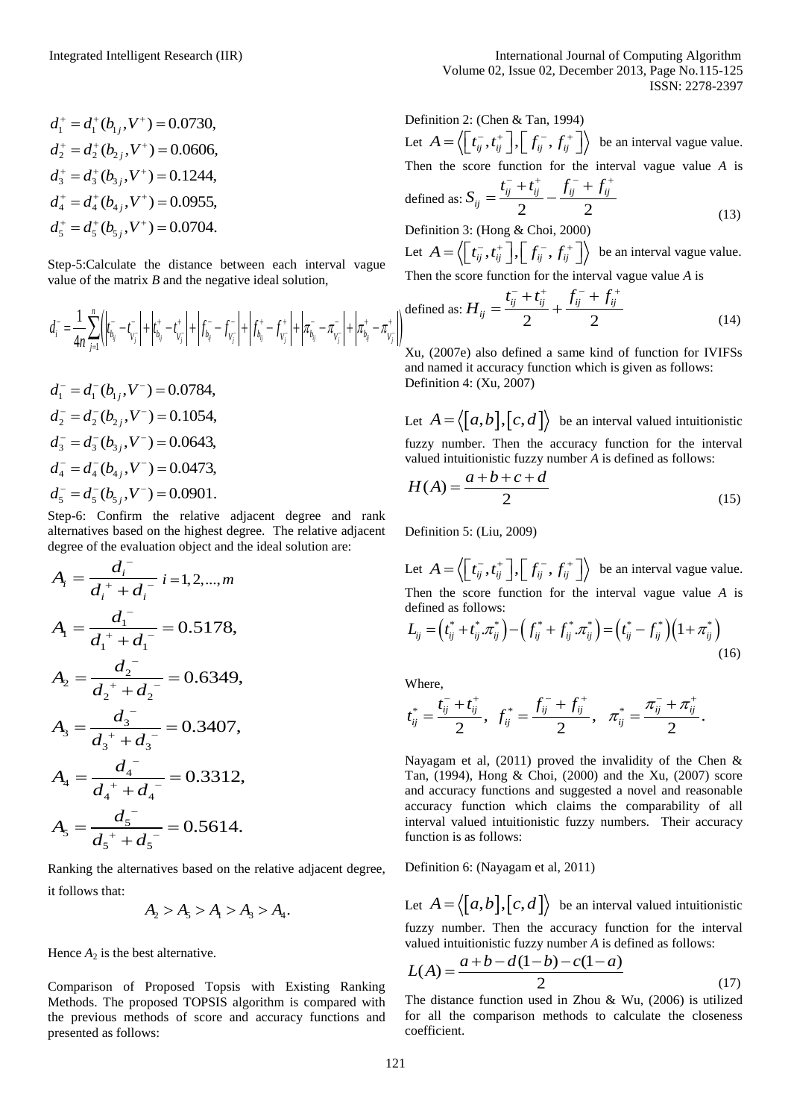$$
d_1^+ = d_1^+(b_{1j}, V^+) = 0.0730,
$$
  
\n
$$
d_2^+ = d_2^+(b_{2j}, V^+) = 0.0606,
$$
  
\n
$$
d_3^+ = d_3^+(b_{3j}, V^+) = 0.1244,
$$
  
\n
$$
d_4^+ = d_4^+(b_{4j}, V^+) = 0.0955,
$$
  
\n
$$
d_5^+ = d_5^+(b_{5j}, V^+) = 0.0704.
$$

Step-5:Calculate the distance between each interval vague value of the matrix *B* and the negative ideal solution,

$$
d_i^- = \frac{1}{4n} \sum_{j=1}^n \left( \left| t_{b_j}^- - t_{v_j}^- \right| + \left| t_{b_j}^+ - t_{v_j}^+ \right| + \left| f_{b_j}^- - f_{v_j}^- \right| + \left| f_{b_j}^+ - f_{v_j}^+ \right| + \left| \pi_{b_j}^- - \pi_{v_j}^- \right| + \left| \pi_{b_j}^+ - \pi_{v_j}^+ \right| \right) \text{define}
$$
\n
$$
d_i^- = \frac{1}{4n} \sum_{j=1}^n \left( \left| t_{b_j}^- - t_{v_j}^- \right| + \left| t_{b_j}^+ - t_{v_j}^+ \right| + \left| f_{b_j}^- - f_{v_j}^- \right| + \left| f_{b_j}^+ - f_{v_j}^- \right| + \left| \pi_{b_j}^- - \pi_{v_j}^- \right| + \left| \pi_{b_j}^+ - \pi_{v_j}^+ \right| \right) \text{ define}
$$

$$
d_1^- = d_1^-(b_{1j}, V^-) = 0.0784,
$$
  
\n
$$
d_2^- = d_2^-(b_{2j}, V^-) = 0.1054,
$$
  
\n
$$
d_3^- = d_3^-(b_{3j}, V^-) = 0.0643,
$$
  
\n
$$
d_4^- = d_4^-(b_{4j}, V^-) = 0.0473,
$$
  
\n
$$
d_5^- = d_5^-(b_{5j}, V^-) = 0.0901.
$$

Step-6: Confirm the relative adjacent degree and rank alternatives based on the highest degree. The relative adjacent degree of the evaluation object and the ideal solution are:

$$
A_{i} = \frac{d_{i}^{2}}{d_{i}^{2} + d_{i}^{2}} i = 1, 2, ..., m
$$
  
\n
$$
A_{1} = \frac{d_{1}^{2}}{d_{1}^{2} + d_{1}^{2}} = 0.5178,
$$
  
\n
$$
A_{2} = \frac{d_{2}^{2}}{d_{2}^{2} + d_{2}^{2}} = 0.6349,
$$
  
\n
$$
A_{3} = \frac{d_{3}^{2}}{d_{3}^{2} + d_{3}^{2}} = 0.3407,
$$
  
\n
$$
A_{4} = \frac{d_{4}^{2}}{d_{4}^{2} + d_{4}^{2}} = 0.3312,
$$
  
\n
$$
A_{5} = \frac{d_{5}^{2}}{d_{5}^{2} + d_{5}^{2}} = 0.5614.
$$

Ranking the alternatives based on the relative adjacent degree, it follows that:

$$
A_2 > A_5 > A_1 > A_3 > A_4.
$$

Hence  $A_2$  is the best alternative.

Comparison of Proposed Topsis with Existing Ranking Methods. The proposed TOPSIS algorithm is compared with the previous methods of score and accuracy functions and presented as follows:

Definition 2: (Chen & Tan, 1994) Let  $A = \langle \begin{bmatrix} t_{ij}^-, t_{ij}^+ \end{bmatrix}, \begin{bmatrix} f_{ij}^-, f_{ij}^+ \end{bmatrix} \rangle$  be an interval vague value. Then the score function for the interval vague value *A* is *i*<sub>*ij*</sub> + *t*<sub>*ij*</sub>  $f_{ij}^-$  + *f*<sub>*ij*</sub> + *f*<sub>*ij*</sub>

defined as: 
$$
S_{ij} = \frac{t_{ij}^- + t_{ij}^+}{2} - \frac{f_{ij}^- + f_{ij}^+}{2}
$$
  
Definition 3: (Hong & Choi, 2000) (13)

Let  $A = \langle \begin{bmatrix} t_{ij}^-, t_{ij}^+ \end{bmatrix}, \begin{bmatrix} f_{ij}^-, f_{ij}^+ \end{bmatrix} \rangle$  be an interval vague value.

Then the score function for the interval vague value A is  
defined as: 
$$
H_{ij} = \frac{t_{ij}^- + t_{ij}^+}{2} + \frac{f_{ij}^- + f_{ij}^+}{2}
$$
(14)

Xu, (2007e) also defined a same kind of function for IVIFSs and named it accuracy function which is given as follows: Definition 4: (Xu, 2007)

Let  $A = \langle [a, b], [c, d] \rangle$  be an interval valued intuitionistic fuzzy number. Then the accuracy function for the interval

valued intuitionistic fuzzy number A is defined as follows:  
\n
$$
H(A) = \frac{a+b+c+d}{2}
$$
\n(15)

Definition 5: (Liu, 2009)

Let  $A = \langle \left[ t_{ij}^-, t_{ij}^+ \right], \left[ f_{ij}^-, f_{ij}^+ \right] \rangle$  be an interval vague value. defined as follows:

Then the score function for the interval vague value *A* is defined as follows:  
\n
$$
L_{ij} = (t_{ij}^* + t_{ij}^* . \pi_{ij}^*) - (f_{ij}^* + f_{ij}^* . \pi_{ij}^*) = (t_{ij}^* - f_{ij}^*) (1 + \pi_{ij}^*)
$$
\n(16)

Where,

Where,  

$$
t_{ij}^* = \frac{t_{ij}^- + t_{ij}^+}{2}
$$
,  $f_{ij}^* = \frac{f_{ij}^- + f_{ij}^+}{2}$ ,  $\pi_{ij}^* = \frac{\pi_{ij}^- + \pi_{ij}^+}{2}$ .

Nayagam et al,  $(2011)$  proved the invalidity of the Chen & Tan, (1994), Hong & Choi, (2000) and the Xu, (2007) score and accuracy functions and suggested a novel and reasonable accuracy function which claims the comparability of all interval valued intuitionistic fuzzy numbers. Their accuracy function is as follows:

Definition 6: (Nayagam et al, 2011)

Let  $A = \langle [a, b], [c, d] \rangle$  be an interval valued intuitionistic fuzzy number. Then the accuracy function for the interval

valued intuitionistic fuzzy number A is defined as follows:  
\n
$$
L(A) = \frac{a+b-d(1-b)-c(1-a)}{2}
$$
\n(17)

The distance function used in Zhou & Wu, (2006) is utilized for all the comparison methods to calculate the closeness coefficient.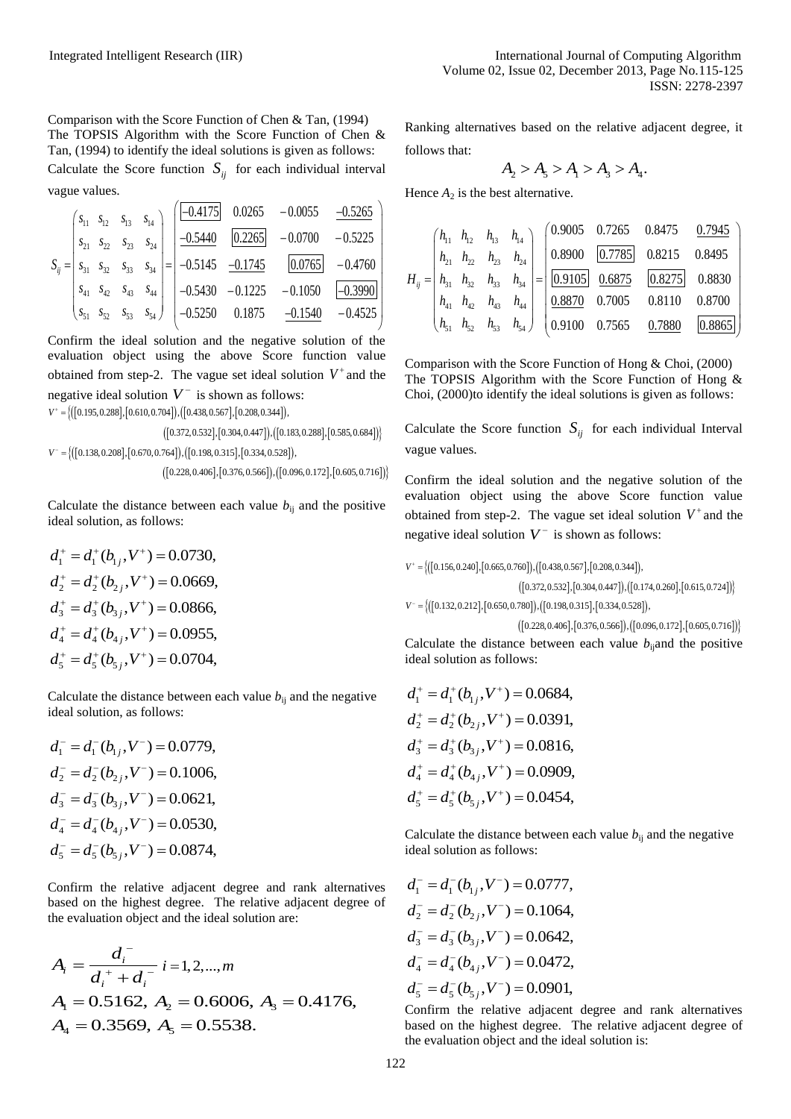Comparison with the Score Function of Chen & Tan, (1994) The TOPSIS Algorithm with the Score Function of Chen & Tan, (1994) to identify the ideal solutions is given as follows:

Calculate the Score function 
$$
S_{ij}
$$
 for each individual interval  
value values.  
\nHence  
\n
$$
S_{ij} = \begin{bmatrix} s_{11} & s_{12} & s_{13} & s_{14} \ s_{21} & s_{22} & s_{23} & s_{24} \ s_{31} & s_{32} & s_{33} & s_{34} \ \end{bmatrix} = \begin{bmatrix} \frac{-0.4175}{-0.5440} & \frac{0.0265}{0.2265} & -0.0700 & -0.5225 \ -0.5145 & \frac{-0.1745}{-0.5145} & \frac{0.0765}{0.0765} & -0.4760 \ s_{41} & s_{42} & s_{43} & s_{44} \ \end{bmatrix} = \begin{bmatrix} -0.5440 & \frac{0.2265}{-0.5430} & -0.1745 & \frac{0.0765}{-0.1540} & -0.4760 \ -0.5255 & 0.1875 & \frac{-0.1540}{-0.1540} & -0.4525 \end{bmatrix} \qquad H_{ij} =
$$

Confirm the ideal solution and the negative solution of the evaluation object using the above Score function value obtained from step-2. The vague set ideal solution  $V^+$  and the negative ideal solution  $V^-$  is shown as follows: ned from step-2. The vague set ideal so<br>ive ideal solution  $V^-$  is shown as follov<br>0.195,0.288],[0.610,0.704]),([0.438,0.567],[0.208,0.344]),

 $\{([0.195, 0.288], [0.610, 0.704]), ([0.438, 0.567], [0.208, 0.344]),$  $V^+ = \{$ 

 $([0.372, 0.532], [0.304, 0.447]), ([0.183, 0.288], [0.585, 0.684])$ negative ideal solution  $V^-$  is shown as follows:<br>  $V^+ = \{([0.195, 0.288], [0.610, 0.704]), ([0.438, 0.567], [0.208, 0.344]),$ <br>  $([0.372, 0.532], [0.304, 0.447]), ([0.183, 0.288], [0.585, 0.684]$ V" = {([0.195,0.288],[0.610,0.704]),([0.438,0.567],[0.208,0.344]),<br>([0.372,0.532],[0.304,0.447]),([0.183<br>*V* = {([0.138,0.208],[0.670,0.764]),([0.198,0.315],[0.334,0.528]),  $([0.372, 0.532], [0.304, 0.447]), ([0.183, 0.288], [0.585, 0.684])\$ <br> $V^- = \{([0.138, 0.208], [0.670, 0.764]), ([0.198, 0.315], [0.334, 0.528]),$ <br> $([0.228, 0.406], [0.376, 0.566]), ([0.096, 0.172], [0.605, 0.716])\}$ 

Calculate the distance between each value  $b_{ij}$  and the positive ideal solution, as follows:

$$
d_1^+ = d_1^+(b_{1j}, V^+) = 0.0730,
$$
  
\n
$$
d_2^+ = d_2^+(b_{2j}, V^+) = 0.0669,
$$
  
\n
$$
d_3^+ = d_3^+(b_{3j}, V^+) = 0.0866,
$$
  
\n
$$
d_4^+ = d_4^+(b_{4j}, V^+) = 0.0955,
$$
  
\n
$$
d_5^+ = d_5^+(b_{5j}, V^+) = 0.0704,
$$

Calculate the distance between each value  $b_{ii}$  and the negative ideal solution, as follows:

 $d_1^- = d_1^-(b_{1j}, V^-) = 0.0779,$  $d_2^- = d_2^-(b_{2j}, V^-) = 0.1006,$  $d_3^- = d_3^-(b_{3j}, V^-) = 0.0621,$  $d_4^- = d_4^- (b_{4j}^-, V^-) = 0.0530,$  $d_5^{\text{-}} = d_5^{\text{-}} (b_{5j}, V^{\text{-}}) = 0.0874,$ 

Confirm the relative adjacent degree and rank alternatives based on the highest degree. The relative adjacent degree of the evaluation object and the ideal solution are:

$$
A_i = \frac{d_i^{\text{-}}}{d_i^{\text{+}} + d_i^{\text{-}}} i = 1, 2, \dots, m
$$
  
A<sub>1</sub> = 0.5162, A<sub>2</sub> = 0.6006, A<sub>3</sub> = 0.4176,  
A<sub>4</sub> = 0.3569, A<sub>5</sub> = 0.5538.

Ranking alternatives based on the relative adjacent degree, it follows that:

$$
A_2 > A_5 > A_1 > A_3 > A_4.
$$

| Hence $A_2$ is the best alternative. |  |  |  |                                                                                                                                                                                                                                                                                                                                                 |
|--------------------------------------|--|--|--|-------------------------------------------------------------------------------------------------------------------------------------------------------------------------------------------------------------------------------------------------------------------------------------------------------------------------------------------------|
|                                      |  |  |  | $H_{ij}=\begin{pmatrix} h_{11} & h_{12} & h_{13} & h_{14} \\ h_{21} & h_{22} & h_{23} & h_{24} \\ h_{31} & h_{32} & h_{33} & h_{34} \\ h_{41} & h_{42} & h_{43} & h_{44} \\ h_{51} & h_{52} & h_{53} & h_{54} \\ \end{pmatrix}=\begin{pmatrix} 0.9005 & 0.7265 & 0.8475 & 0.7945 \\ 0.8900 & 0.7785 & 0.8215 & 0.8495 \\ \hline \hline 0.09105$ |
|                                      |  |  |  |                                                                                                                                                                                                                                                                                                                                                 |
|                                      |  |  |  |                                                                                                                                                                                                                                                                                                                                                 |
|                                      |  |  |  |                                                                                                                                                                                                                                                                                                                                                 |

Comparison with the Score Function of Hong & Choi, (2000) The TOPSIS Algorithm with the Score Function of Hong & Choi, (2000)to identify the ideal solutions is given as follows:

Calculate the Score function  $S_{ij}$  for each individual Interval vague values.

Confirm the ideal solution and the negative solution of the evaluation object using the above Score function value obtained from step-2. The vague set ideal solution  $V^+$  and the

negative ideal solution 
$$
V^-
$$
 is shown as follows:  
\n
$$
V^+ = \{ ([0.156, 0.240], [0.665, 0.760]), ([0.438, 0.567], [0.208, 0.344]), ([0.174, 0.260], [0.615, 0.724]) \}
$$
\n
$$
V^- = \{ ([0.132, 0.212], [0.650, 0.780]), ([0.198, 0.315], [0.334, 0.528]), ([0.096, 0.172], [0.605, 0.716]) \}
$$
\n
$$
= \{ ([0.132, 0.212], [0.650, 0.780], ([0.98, 0.315], [0.376, 0.566]), ([0.096, 0.172], [0.605, 0.716]) \}
$$

{(10.132,0.212, 10.650,0.780)}, (10.198,0.315, 10.334,0.528)},  $V^- = \frac{1}{2}$ 

 $([0.228, 0.406], [0.376, 0.566]), ([0.096, 0.172], [0.605, 0.716])$ Calculate the distance between each value  $b_{ij}$  and the positive ideal solution as follows:

$$
d_1^+ = d_1^+(b_{1j}, V^+) = 0.0684,
$$
  
\n
$$
d_2^+ = d_2^+(b_{2j}, V^+) = 0.0391,
$$
  
\n
$$
d_3^+ = d_3^+(b_{3j}, V^+) = 0.0816,
$$
  
\n
$$
d_4^+ = d_4^+(b_{4j}, V^+) = 0.0909,
$$
  
\n
$$
d_5^+ = d_5^+(b_{5j}, V^+) = 0.0454,
$$

Calculate the distance between each value  $b_{ii}$  and the negative ideal solution as follows:

$$
d_1^- = d_1^-(b_{1j}, V^-) = 0.0777,
$$
  
\n
$$
d_2^- = d_2^-(b_{2j}, V^-) = 0.1064,
$$
  
\n
$$
d_3^- = d_3^-(b_{3j}, V^-) = 0.0642,
$$
  
\n
$$
d_4^- = d_4^-(b_{4j}, V^-) = 0.0472,
$$
  
\n
$$
d_5^- = d_5^-(b_{5j}, V^-) = 0.0901,
$$

Confirm the relative adjacent degree and rank alternatives based on the highest degree. The relative adjacent degree of the evaluation object and the ideal solution is: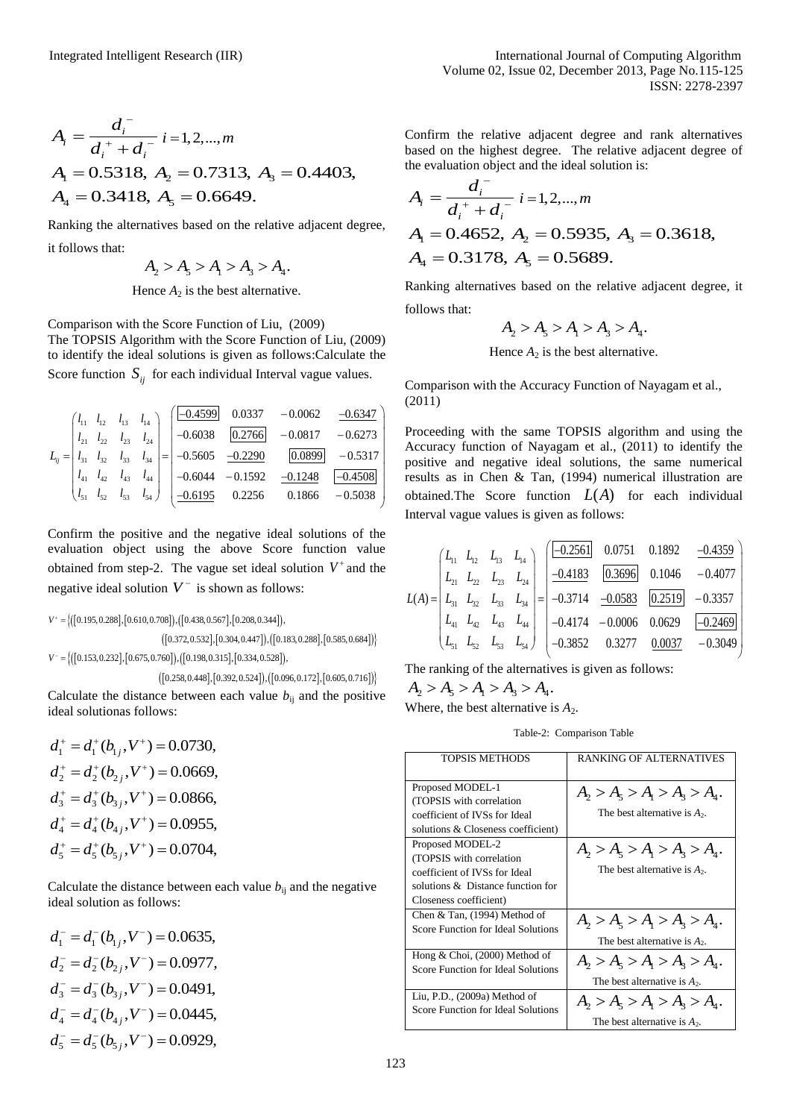$$
A_i = \frac{d_i^{\text{-}}}{d_i^{\text{+}} + d_i^{\text{-}}} i = 1, 2, \dots, m
$$
  
A<sub>1</sub> = 0.5318, A<sub>2</sub> = 0.7313, A<sub>3</sub> = 0.4403,  
A<sub>4</sub> = 0.3418, A<sub>5</sub> = 0.6649.

| $A_i = \frac{a_i}{d_i^+ + d_i^-} i = 1, 2, , m$                                                                                                                                                                                                                                                                                                               | Confii<br>based                                                    |
|---------------------------------------------------------------------------------------------------------------------------------------------------------------------------------------------------------------------------------------------------------------------------------------------------------------------------------------------------------------|--------------------------------------------------------------------|
| $A_1 = 0.5318$ , $A_2 = 0.7313$ , $A_3 = 0.4403$ ,                                                                                                                                                                                                                                                                                                            | the ev                                                             |
| $A_4 = 0.3418$ , $A_5 = 0.6649$ .                                                                                                                                                                                                                                                                                                                             | $A_i =$                                                            |
| Ranking the alternatives based on the relative adjacent degree,                                                                                                                                                                                                                                                                                               | $A1$ =                                                             |
| it follows that:                                                                                                                                                                                                                                                                                                                                              | $A_4$ =                                                            |
| $A_2 > A_5 > A_1 > A_3 > A_4.$                                                                                                                                                                                                                                                                                                                                |                                                                    |
| Hence $A_2$ is the best alternative.                                                                                                                                                                                                                                                                                                                          | Ranki                                                              |
| Comparison with the Score Function of Liu, (2009)<br>The TOPSIS Algorithm with the Score Function of Liu, (2009)<br>to identify the ideal solutions is given as follows: Calculate the<br>Score function $S_{ij}$ for each individual Interval vague values.                                                                                                  | follow                                                             |
|                                                                                                                                                                                                                                                                                                                                                               | Comp                                                               |
| $L_{ij} = \begin{pmatrix} l_{11} & l_{12} & l_{13} & l_{14} \\ l_{21} & l_{22} & l_{23} & l_{24} \\ l_{31} & l_{32} & l_{33} & l_{34} \\ l_{41} & l_{42} & l_{43} & l_{44} \\ l_{51} & l_{52} & l_{53} & l_{54} \end{pmatrix} = \begin{pmatrix} \boxed{-0.4599} & 0.0337 & -0.0062 & \boxed{-0.6347} \\ -0.6038 & \boxed{0.2766} & -0.0817 & -0.6273 \\ -0.5$ | (2011)<br>Proce<br>Accur<br>positiv<br>results<br>obtain<br>Intery |
| Confirm the positive and the negative ideal solutions of the                                                                                                                                                                                                                                                                                                  |                                                                    |
| evaluation object using the above Score function value                                                                                                                                                                                                                                                                                                        |                                                                    |
| obtained from step-2. The vague set ideal solution $V^+$ and the<br>negative ideal solution $V^-$ is shown as follows:                                                                                                                                                                                                                                        |                                                                    |
|                                                                                                                                                                                                                                                                                                                                                               | $L(A) =$                                                           |
| $V^+ = \left\{\left(\left[0.195, 0.288\right], \left[0.610, 0.708\right]\right), \left(\left[0.438, 0.567\right], \left[0.208, 0.344\right]\right), \right.$                                                                                                                                                                                                  |                                                                    |
| $([0.372, 0.532], [0.304, 0.447]), ([0.183, 0.288], [0.585, 0.684])$<br>$V^- = \{ ([0.153, 0.232], [0.675, 0.760]), ([0.198, 0.315], [0.334, 0.528]),$                                                                                                                                                                                                        |                                                                    |
| $([0.258, 0.448], [0.392, 0.524]), ([0.096, 0.172], [0.605, 0.716])$                                                                                                                                                                                                                                                                                          | The ra                                                             |
| Calculate the distance between each value $b_{ij}$ and the positive<br>ideal solutionas follows:                                                                                                                                                                                                                                                              | $A_{2}$<br>Where                                                   |
| $d_1^+ = d_1^+(b_1, V^+) = 0.0730,$                                                                                                                                                                                                                                                                                                                           |                                                                    |
| $d_2^+ = d_2^+(b_2, V^+) = 0.0669,$                                                                                                                                                                                                                                                                                                                           |                                                                    |
| $d_3^+ = d_3^+(b_3, V^+) = 0.0866,$                                                                                                                                                                                                                                                                                                                           | Propo                                                              |
|                                                                                                                                                                                                                                                                                                                                                               | (TOP)<br>coeffi                                                    |
| $d_4^+ = d_4^+(b_4, V^+) = 0.0955,$                                                                                                                                                                                                                                                                                                                           | soluti                                                             |
| $d_5^+ = d_5^+(b_{5i}, V^+) = 0.0704,$                                                                                                                                                                                                                                                                                                                        | Propo<br>(TOP)                                                     |
|                                                                                                                                                                                                                                                                                                                                                               | coeffi                                                             |
| Calculate the distance between each value $b_{ij}$ and the negative<br>ideal solution as follows:                                                                                                                                                                                                                                                             | soluti<br><b>Close</b>                                             |
|                                                                                                                                                                                                                                                                                                                                                               | Chen                                                               |
| $d_1^- = d_1^-(b_1, V^-) = 0.0635,$                                                                                                                                                                                                                                                                                                                           | Score                                                              |
| $d_2^- = d_2^-(b_2, V^-) = 0.0977,$                                                                                                                                                                                                                                                                                                                           | Hong<br>Score                                                      |
| $d_3^- = d_3^- (b_{3i}, V^-) = 0.0491,$                                                                                                                                                                                                                                                                                                                       | Liu, P                                                             |
| $d_4^- = d_4^- (b_{4i}, V^-) = 0.0445,$                                                                                                                                                                                                                                                                                                                       | Score                                                              |
| $d_5^- = d_5^-(b_{5i}, V^-) = 0.0929,$                                                                                                                                                                                                                                                                                                                        |                                                                    |
| 123                                                                                                                                                                                                                                                                                                                                                           |                                                                    |
|                                                                                                                                                                                                                                                                                                                                                               |                                                                    |

$$
d_1^- = d_1^-(b_{1j}, V^-) = 0.0635,
$$
  
\n
$$
d_2^- = d_2^-(b_{2j}, V^-) = 0.0977,
$$
  
\n
$$
d_3^- = d_3^-(b_{3j}, V^-) = 0.0491,
$$
  
\n
$$
d_4^- = d_4^-(b_{4j}, V^-) = 0.0445,
$$
  
\n
$$
d_5^- = d_5^-(b_{5j}, V^-) = 0.0929,
$$

Confirm the relative adjacent degree and rank alternatives based on the highest degree. The relative adjacent degree of the evaluation object and the ideal solution is:

$$
A_i = \frac{d_i^{\text{-}}}{d_i^{\text{+}} + d_i^{\text{-}}} i = 1, 2, \dots, m
$$
  
A<sub>1</sub> = 0.4652, A<sub>2</sub> = 0.5935, A<sub>3</sub> = 0.3618,  
A<sub>4</sub> = 0.3178, A<sub>5</sub> = 0.5689.

Ranking alternatives based on the relative adjacent degree, it follows that:

$$
A_2 > A_5 > A_1 > A_3 > A_4.
$$

Hence  $A_2$  is the best alternative.

Comparison with the Accuracy Function of Nayagam et al., (2011)

Proceeding with the same TOPSIS algorithm and using the Accuracy function of Nayagam et al., (2011) to identify the positive and negative ideal solutions, the same numerical results as in Chen & Tan, (1994) numerical illustration are obtained.The Score function  $L(A)$  for each individual

Interval vague values is given as follows:  
\n
$$
L_{11} = \begin{pmatrix} L_{11} & L_{12} & L_{13} & L_{14} \\ L_{21} & L_{22} & L_{23} & L_{24} \\ L_{31} & L_{32} & L_{33} & L_{34} \\ L_{41} & L_{42} & L_{43} & L_{44} \\ L_{51} & L_{52} & L_{53} & L_{54} \end{pmatrix} = \begin{pmatrix} \frac{-0.2561}{-0.4183} & \frac{0.0751}{-0.3696} & 0.1046 & -0.4077 \\ \frac{-0.4183}{-0.3714} & \frac{0.3696}{-0.0583} & \frac{0.2519}{-0.2469} & -0.3357 \\ -0.4174 & -0.0006 & 0.0629 & \frac{-0.2469}{-0.2469} \\ -0.3852 & 0.3277 & \frac{0.0037}{-0.3049} & -0.3049 \end{pmatrix}
$$

The ranking of the alternatives is given as follows:<br> $A_2 > A_5 > A_1 > A_3 > A_4.$ 

$$
A_2 > A_5 > A_1 > A_3 > A_4.
$$

Where, the best alternative is  $A_2$ .

Table-2: Comparison Table

| <b>TOPSIS METHODS</b>                                                                                                                        | <b>RANKING OF ALTERNATIVES</b>                                     |
|----------------------------------------------------------------------------------------------------------------------------------------------|--------------------------------------------------------------------|
| Proposed MODEL-1<br>(TOPSIS with correlation<br>coefficient of IVSs for Ideal<br>solutions & Closeness coefficient)                          | $A_1 > A_5 > A_1 > A_3 > A_4.$<br>The best alternative is $A_2$ .  |
| Proposed MODEL-2<br>(TOPSIS with correlation<br>coefficient of IVSs for Ideal<br>solutions & Distance function for<br>Closeness coefficient) | $A_2 > A_3 > A_1 > A_2 > A_4$ .<br>The best alternative is $A_2$ . |
| Chen & Tan, $(1994)$ Method of                                                                                                               | $A_2 > A_3 > A_1 > A_3 > A_4.$                                     |
| Score Function for Ideal Solutions                                                                                                           | The best alternative is $A_2$ .                                    |
| Hong & Choi, (2000) Method of                                                                                                                | $A_2 > A_3 > A_1 > A_2 > A_4$ .                                    |
| Score Function for Ideal Solutions                                                                                                           | The best alternative is $A_2$ .                                    |
| Liu, P.D., $(2009a)$ Method of                                                                                                               | $A_2 > A_3 > A_1 > A_3 > A_4.$                                     |
| Score Function for Ideal Solutions                                                                                                           | The best alternative is $A_2$ .                                    |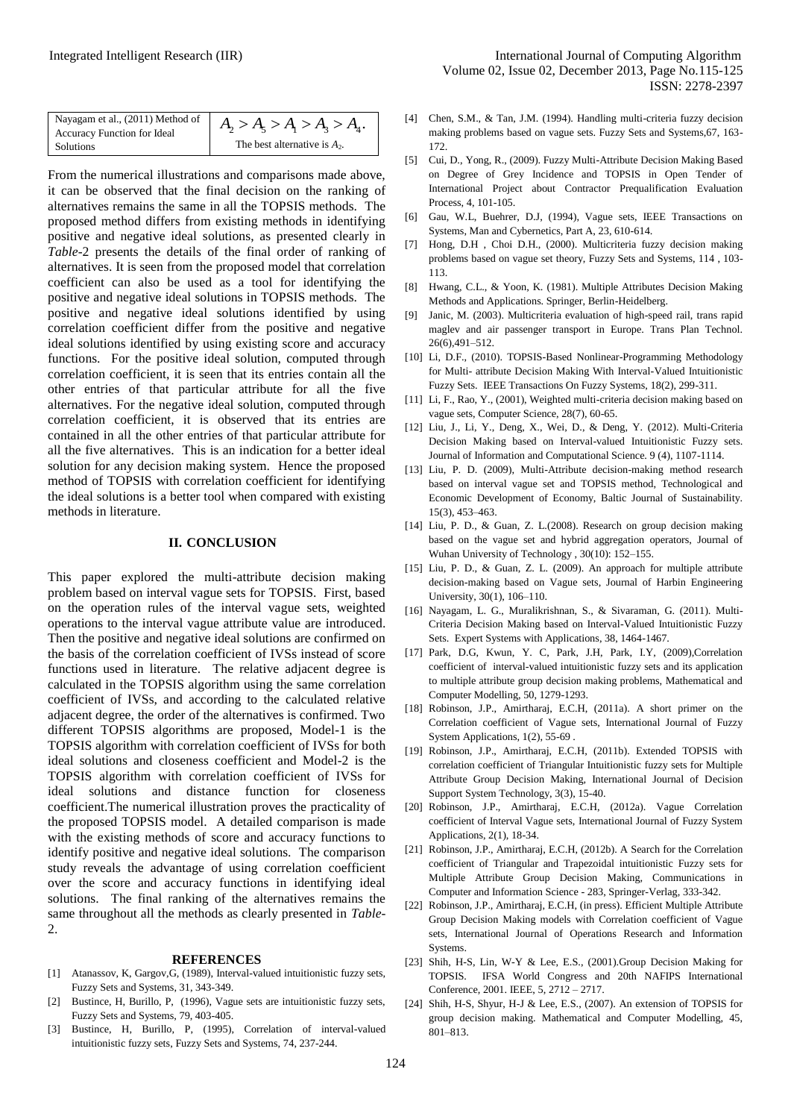| Nayagam et al., (2011) Method of<br>Accuracy Function for Ideal<br>Solutions | $A_2 > A_5 > A_1 > A_3 > A_4.$<br>The best alternative is $A_2$ . |
|------------------------------------------------------------------------------|-------------------------------------------------------------------|
|------------------------------------------------------------------------------|-------------------------------------------------------------------|

From the numerical illustrations and comparisons made above, it can be observed that the final decision on the ranking of alternatives remains the same in all the TOPSIS methods. The proposed method differs from existing methods in identifying positive and negative ideal solutions, as presented clearly in *Table*-2 presents the details of the final order of ranking of alternatives. It is seen from the proposed model that correlation coefficient can also be used as a tool for identifying the positive and negative ideal solutions in TOPSIS methods. The positive and negative ideal solutions identified by using correlation coefficient differ from the positive and negative ideal solutions identified by using existing score and accuracy functions. For the positive ideal solution, computed through correlation coefficient, it is seen that its entries contain all the other entries of that particular attribute for all the five alternatives. For the negative ideal solution, computed through correlation coefficient, it is observed that its entries are contained in all the other entries of that particular attribute for all the five alternatives. This is an indication for a better ideal solution for any decision making system. Hence the proposed method of TOPSIS with correlation coefficient for identifying the ideal solutions is a better tool when compared with existing methods in literature.

#### **II. CONCLUSION**

This paper explored the multi-attribute decision making problem based on interval vague sets for TOPSIS. First, based on the operation rules of the interval vague sets, weighted operations to the interval vague attribute value are introduced. Then the positive and negative ideal solutions are confirmed on the basis of the correlation coefficient of IVSs instead of score functions used in literature. The relative adjacent degree is calculated in the TOPSIS algorithm using the same correlation coefficient of IVSs, and according to the calculated relative adjacent degree, the order of the alternatives is confirmed. Two different TOPSIS algorithms are proposed, Model-1 is the TOPSIS algorithm with correlation coefficient of IVSs for both ideal solutions and closeness coefficient and Model-2 is the TOPSIS algorithm with correlation coefficient of IVSs for ideal solutions and distance function for closeness coefficient.The numerical illustration proves the practicality of the proposed TOPSIS model. A detailed comparison is made with the existing methods of score and accuracy functions to identify positive and negative ideal solutions. The comparison study reveals the advantage of using correlation coefficient over the score and accuracy functions in identifying ideal solutions. The final ranking of the alternatives remains the same throughout all the methods as clearly presented in *Table*-2.

#### **REFERENCES**

- [1] Atanassov, K, Gargov, G, (1989), Interval-valued intuitionistic fuzzy sets, Fuzzy Sets and Systems, 31, 343-349.
- [2] Bustince, H, Burillo, P, (1996), Vague sets are intuitionistic fuzzy sets, Fuzzy Sets and Systems, 79, 403-405.
- [3] Bustince, H, Burillo, P, (1995), Correlation of interval-valued intuitionistic fuzzy sets, Fuzzy Sets and Systems, 74, 237-244.
- [4] Chen, S.M., & Tan, J.M. (1994). Handling multi-criteria fuzzy decision making problems based on vague sets. Fuzzy Sets and Systems,67, 163- 172.
- [5] Cui, D., Yong, R., (2009). Fuzzy Multi-Attribute Decision Making Based on Degree of Grey Incidence and TOPSIS in Open Tender of International Project about Contractor Prequalification Evaluation Process, 4, 101-105.
- [6] Gau, W.L, Buehrer, D.J, (1994), Vague sets, IEEE Transactions on Systems, Man and Cybernetics, Part A, 23, 610-614.
- [7] Hong, D.H , Choi D.H., (2000). Multicriteria fuzzy decision making problems based on vague set theory, Fuzzy Sets and Systems, 114 , 103- 113.
- [8] Hwang, C.L., & Yoon, K. (1981). Multiple Attributes Decision Making Methods and Applications. Springer, Berlin-Heidelberg.
- [9] Janic, M. (2003). Multicriteria evaluation of high-speed rail, trans rapid maglev and air passenger transport in Europe. Trans Plan Technol. 26(6),491–512.
- [10] Li, D.F., (2010). TOPSIS-Based Nonlinear-Programming Methodology for Multi- attribute Decision Making With Interval-Valued Intuitionistic Fuzzy Sets. IEEE Transactions On Fuzzy Systems, 18(2), 299-311.
- [11] Li, F., Rao, Y., (2001), Weighted multi-criteria decision making based on vague sets, Computer Science, 28(7), 60-65.
- [12] Liu, J., Li, Y., Deng, X., Wei, D., & Deng, Y. (2012). Multi-Criteria Decision Making based on Interval-valued Intuitionistic Fuzzy sets. Journal of Information and Computational Science. 9 (4), 1107-1114.
- [13] Liu, P. D. (2009), Multi-Attribute decision-making method research based on interval vague set and TOPSIS method, Technological and Economic Development of Economy, Baltic Journal of Sustainability. 15(3), 453–463.
- [14] Liu, P. D., & Guan, Z. L.(2008). Research on group decision making based on the vague set and hybrid aggregation operators, Journal of Wuhan University of Technology , 30(10): 152–155.
- [15] Liu, P. D., & Guan, Z. L. (2009). An approach for multiple attribute decision-making based on Vague sets, Journal of Harbin Engineering University, 30(1), 106–110.
- [16] Nayagam, L. G., Muralikrishnan, S., & Sivaraman, G. (2011). Multi-Criteria Decision Making based on Interval-Valued Intuitionistic Fuzzy Sets. Expert Systems with Applications, 38, 1464-1467.
- [17] Park, D.G, Kwun, Y. C, Park, J.H, Park, I.Y, (2009), Correlation coefficient of interval-valued intuitionistic fuzzy sets and its application to multiple attribute group decision making problems, Mathematical and Computer Modelling, 50, 1279-1293.
- [18] Robinson, J.P., Amirtharaj, E.C.H, (2011a). A short primer on the Correlation coefficient of Vague sets, International Journal of Fuzzy System Applications, 1(2), 55-69 .
- [19] Robinson, J.P., Amirtharaj, E.C.H, (2011b). Extended TOPSIS with correlation coefficient of Triangular Intuitionistic fuzzy sets for Multiple Attribute Group Decision Making, International Journal of Decision Support System Technology, 3(3), 15-40.
- [20] Robinson, J.P., Amirtharaj, E.C.H, (2012a). Vague Correlation coefficient of Interval Vague sets, International Journal of Fuzzy System Applications, 2(1), 18-34.
- [21] Robinson, J.P., Amirtharaj, E.C.H, (2012b). A Search for the Correlation coefficient of Triangular and Trapezoidal intuitionistic Fuzzy sets for Multiple Attribute Group Decision Making, Communications in Computer and Information Science - 283, Springer-Verlag, 333-342.
- [22] Robinson, J.P., Amirtharaj, E.C.H, (in press). Efficient Multiple Attribute Group Decision Making models with Correlation coefficient of Vague sets, International Journal of Operations Research and Information Systems.
- [23] Shih, H-S, Lin, W-Y & Lee, E.S., (2001).Group Decision Making for TOPSIS. [IFSA World Congress and 20th NAFIPS International](http://ieeexplore.ieee.org/xpl/mostRecentIssue.jsp?punumber=7506)  [Conference, 2001. I](http://ieeexplore.ieee.org/xpl/mostRecentIssue.jsp?punumber=7506)EEE, 5, 2712 – 2717.
- [24] Shih, H-S, Shyur, H-J & Lee, E.S., (2007). An extension of TOPSIS for group decision making. Mathematical and Computer Modelling, 45, 801–813.